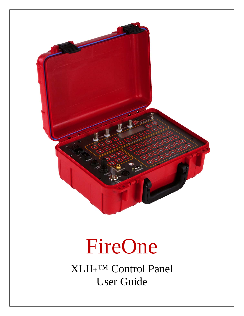

# FireOne

XLII+™ Control Panel User Guide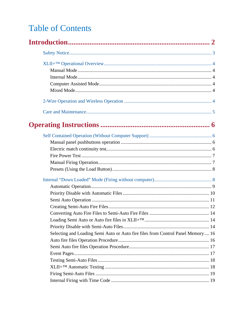# **Table of Contents**

| Selecting and Loading Semi Auto or Auto fire files from Control Panel Memory 16 |  |
|---------------------------------------------------------------------------------|--|
|                                                                                 |  |
|                                                                                 |  |
|                                                                                 |  |
|                                                                                 |  |
|                                                                                 |  |
|                                                                                 |  |
|                                                                                 |  |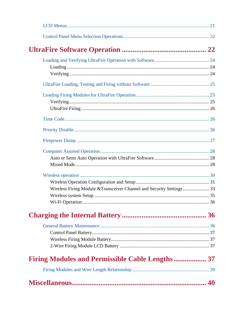| Wireless Firing Module & Transceiver Channel and Security Settings 33 |  |
|-----------------------------------------------------------------------|--|
|                                                                       |  |
|                                                                       |  |
|                                                                       |  |
|                                                                       |  |
|                                                                       |  |
|                                                                       |  |
|                                                                       |  |
| <b>Firing Modules and Permissible Cable Lengths  37</b>               |  |
|                                                                       |  |
|                                                                       |  |
|                                                                       |  |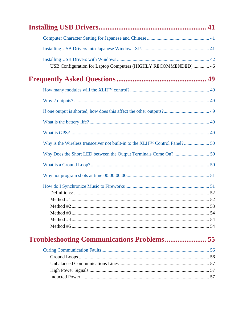| USB Configuration for Laptop Computers (HIGHLY RECOMMENDED)  46              |
|------------------------------------------------------------------------------|
|                                                                              |
|                                                                              |
|                                                                              |
|                                                                              |
|                                                                              |
|                                                                              |
| Why is the Wireless transceiver not built-in to the XLIITM Control Panel? 50 |
|                                                                              |
|                                                                              |
|                                                                              |
|                                                                              |
|                                                                              |
| Method #1<br>.52                                                             |
|                                                                              |
|                                                                              |
|                                                                              |
|                                                                              |
|                                                                              |

# **Troubleshooting Communications Problems..................... 55**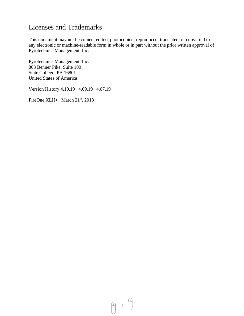## Licenses and Trademarks

This document may not be copied, edited, photocopied, reproduced, translated, or converted to any electronic or machine-readable form in whole or in part without the prior written approval of Pyrotechnics Management, Inc.

Pyrotechnics Management, Inc. 863 Benner Pike, Suite 100 State College, PA 16801 United States of America

Version History 4.10.19 4.09.19 4.07.19

FireOne XLII+ March  $21<sup>st</sup>$ , 2018

ω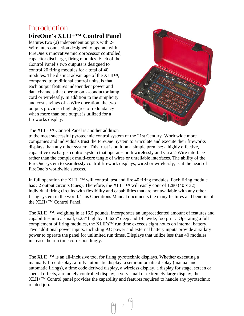## **Introduction FireOne's XLII+™ Control Panel**

features two (2) independent outputs with 2- Wire interconnection designed to operate with FireOne's innovative microprocessor controlled, capacitor discharge, firing modules. Each of the Control Panel's two outputs is designed to control 20 firing modules for a total of 40 modules. The distinct advantage of the XLII™, compared to traditional control units, is that each output features independent power and data channels that operate on 2-conductor lamp cord or wirelessly. In addition to the simplicity and cost savings of 2-Wire operation, the two outputs provide a high degree of redundancy when more than one output is utilized for a fireworks display.



The XLII+™ Control Panel is another addition

to the most successful pyrotechnic control system of the 21st Century. Worldwide more companies and individuals trust the FireOne System to articulate and execute their fireworks displays than any other system. This trust is built on a simple premise: a highly effective, capacitive discharge, control system that operates both wirelessly and via a 2-Wire interface rather than the complex multi-core tangle of wires or unreliable interfaces. The ability of the FireOne system to seamlessly control firework displays, wired or wirelessly, is at the heart of FireOne's worldwide success.

In full operation the  $XLII+<sup>TM</sup>$  will control, test and fire 40 firing modules. Each firing module has 32 output circuits (cues). Therefore, the XLII+<sup>™</sup> will easily control 1280 (40 x 32) individual firing circuits with flexibility and capabilities that are not available with any other firing system in the world. This Operations Manual documents the many features and benefits of the XLII+™ Control Panel.

The XLII+™, weighing in at 16.5 pounds, incorporates an unprecedented amount of features and capabilities into a small, 6.25" high by 10.625" deep and 14" wide, footprint. Operating a full complement of firing modules, the XLII's<sup>™</sup> run time exceeds eight hours on internal battery. Two additional power inputs, including AC power and external battery inputs provide auxillary power to operate the panel for unlimited run times. Displays that utilize less than 40 modules increase the run time correspondingly.

The XLII+ $^{TM}$  is an all-inclusive tool for firing pyrotechnic displays. Whether executing a manually fired display, a fully automatic display, a semi-automatic display (manual and automatic firings), a time code derived display, a wireless display, a display for stage, screen or special effects, a remotely controlled display, a very small or extremely large display, the  $XLII+<sup>TM</sup>$  Control panel provides the capability and features required to handle any pyrotechnic related job.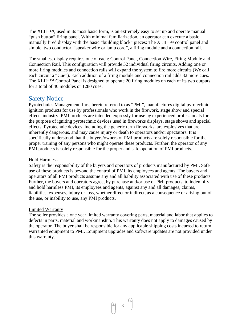The XLII+™, used in its most basic form, is an extremely easy to set up and operate manual "push button" firing panel. With minimal familiarization, an operator can execute a basic manually fired display with the basic "building block" pieces: The XLII+™ control panel and simple, two conductor, "speaker wire or lamp cord", a firing module and a connection rail.

The smallest display requires one of each: Control Panel, Connection Wire, Firing Module and Connection Rail. This configuration will provide 32 individual firing circuits. Adding one or more firing modules and connection rails will expand the system to fire more circuits (We call each circuit a "Cue"). Each addition of a firing module and connection rail adds 32 more cues. The XLII+™ Control Panel is designed to operate 20 firing modules on each of its two outputs for a total of 40 modules or 1280 cues.

## Safety Notice

Pyrotechnics Management, Inc., herein referred to as "PMI", manufactures digital pyrotechnic ignition products for use by professionals who work in the firework, stage show and special effects industry. PMI products are intended expressly for use by experienced professionals for the purpose of igniting pyrotechnic devices used in fireworks displays, stage shows and special effects. Pyrotechnic devices, including the generic term fireworks, are explosives that are inherently dangerous, and may cause injury or death to operators and/or spectators. It is specifically understood that the buyers/owners of PMI products are solely responsible for the proper training of any persons who might operate these products. Further, the operator of any PMI products is solely responsible for the proper and safe operation of PMI products.

#### Hold Harmless

Safety is the responsibility of the buyers and operators of products manufactured by PMI. Safe use of these products is beyond the control of PMI, its employees and agents. The buyers and operators of all PMI products assume any and all liability associated with use of these products. Further, the buyers and operators agree, by purchase and/or use of PMI products, to indemnify and hold harmless PMI, its employees and agents, against any and all damages, claims, liabilities, expenses, injury or loss, whether direct or indirect, as a consequence or arising out of the use, or inability to use, any PMI products.

#### Limited Warranty

The seller provides a one year limited warranty covering parts, material and labor that applies to defects in parts, material and workmanship. This warranty does not apply to damages caused by the operator. The buyer shall be responsible for any applicable shipping costs incurred to return warranted equipment to PMI. Equipment upgrades and software updates are not provided under this warranty.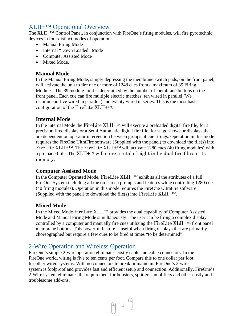## XLII+™ Operational Overview

The XLII<sup>+™</sup> Control Panel, in conjunction with FireOne's firing modules, will fire pyrotechnic devices in four distinct modes of operation:

- Manual Firing Mode
- Internal "Down Loaded" Mode
- Computer Assisted Mode
- Mixed Mode.

### **Manual Mode**

In the Manual Firing Mode, simply depressing the membrane switch pads, on the front panel, will activate the unit to fire one or more of 1248 cues from a maximum of 39 Firing Modules. The 39 module limit is determined by the number of membrane buttons on the front panel. Each cue can fire multiple electric matches; ten wired in parallel (We recommend five wired in parallel.) and twenty wired in series. This is the most basic configuration of the FireLite  $XLII+^{TM}$ .

### **Internal Mode**

In the Internal Mode the FireLite XLII+ $\text{TM}$  will execute a preloaded digital fire file, for a precision fired display or a Semi Automatic digital fire file, for stage shows or displays that are dependent on operator intervention between groups of cue firings. Operation in this mode requires the FireOne UltraFire software (Supplied with the panel) to download the file(s) into FireLite XLII+<sup>TM</sup>. The FireLite XLII+<sup>TM</sup> will activate 1280 cues (40 firing modules) with a preloaded file. The  $XLII + T^M$  will store a total of eight individual fire files in its memory.

### **Computer Assisted Mode**

In the Computer Operated Mode, FireLite  $XLII + TM$  exhibits all the attributes of a full FireOne System including all the on-screen prompts and features while controlling 1280 cues (40 firing modules). Operation in this mode requires the FireOne UltraFire software (Supplied with the panel) to download the file(s) into FireLite  $XLII+TM$ .

### **Mixed Mode**

In the Mixed Mode FireLite  $XLII^{TM}$  provides the dual capability of Computer Assisted Mode and Manual Firing Mode simultaneously. The user can be firing a complex display controlled by a computer and manually fire cues utilizing the FireLite  $XLI I^{+TM}$  front panel membrane buttons. This powerful feature is useful when firing displays that are primarily choreographed but require a few cues to be fired at times "to be determined".

## 2-Wire Operation and Wireless Operation

FireOne's simple 2-wire operation eliminates costly cable and cable connectors. In the FireOne world, wiring is five to ten cents per foot. Compare this to one dollar per foot for other wired systems. With no connectors to break or maintain, FireOne's 2-wire system is foolproof and provides fast and efficient setup and connection. Additionally, FireOne's 2-Wire system eliminates the requirement for boosters, splitters, amplifiers and other costly and troublesome add-ons.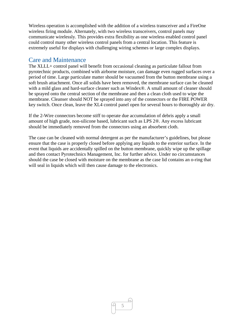Wireless operation is accomplished with the addition of a wireless transceiver and a FireOne wireless firing module. Alternately, with two wireless transceivers, control panels may communicate wirelessly. This provides extra flexibility as one wireless enabled control panel could control many other wireless control panels from a central location. This feature is extremely useful for displays with challenging wiring schemes or large complex displays.

## Care and Maintenance

The XLLL+ control panel will benefit from occasional cleaning as particulate fallout from pyrotechnic products, combined with airborne moisture, can damage even rugged surfaces over a period of time. Large particulate matter should be vacuumed from the button membrane using a soft brush attachment. Once all solids have been removed, the membrane surface can be cleaned with a mild glass and hard-surface cleaner such as Windex®. A small amount of cleaner should be sprayed onto the central section of the membrane and then a clean cloth used to wipe the membrane. Cleanser should NOT be sprayed into any of the connectors or the FIRE POWER key switch. Once clean, leave the XL4 control panel open for several hours to thoroughly air dry.

If the 2-Wire connectors become stiff to operate due accumulation of debris apply a small amount of high grade, non-silicone based, lubricant such as LPS 2®. Any excess lubricant should be immediately removed from the connectors using an absorbent cloth.

The case can be cleaned with normal detergent as per the manufacturer's guidelines, but please ensure that the case is properly closed before applying any liquids to the exterior surface. In the event that liquids are accidentally spilled on the button membrane, quickly wipe up the spillage and then contact Pyrotechnics Management, Inc. for further advice. Under no circumstances should the case be closed with moisture on the membrane as the case lid contains an o-ring that will seal in liquids which will then cause damage to the electronics.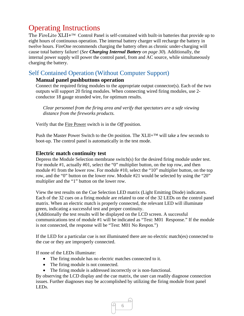# Operating Instructions

The FireLite XLII+<sup>™</sup> Control Panel is self-contained with built-in batteries that provide up to eight hours of continuous operation. The internal battery charger will recharge the battery in twelve hours. FireOne recommends charging the battery often as chronic under-charging will cause total battery failure! (*See Charging Internal Battery on page 30*). Additionally, the internal power supply will power the control panel, from and AC source, while simultaneously charging the battery.

## Self Contained Operation (Without Computer Support)

## **Manual panel pushbuttons operation**

Connect the required firing modules to the appropriate output connector(s). Each of the two outputs will support 20 firing modules. When connecting wired firing modules, use 2 conductor 18 gauge stranded wire, for optimum results.

*Clear personnel from the firing area and verify that spectators are a safe viewing distance from the fireworks products.* 

Verify that the Fire Power switch is in the *Off* position.

Push the Master Power Switch to the *On* position. The XLII+<sup>™</sup> will take a few seconds to boot-up. The control panel is automatically in the test mode.

## **Electric match continuity test**

Depress the Module Selection membrane switch(s) for the desired firing module under test. For module #1, actually #01, select the "0" multiplier button, on the top row, and then module #1 from the lower row. For module #10, select the "10" multiplier button, on the top row, and the "0" button on the lower row. Module #21 would be selected by using the "20" multiplier and the "1" button on the lower row.

View the test results on the Cue Selection LED matrix (Light Emitting Diode) indicators. Each of the 32 cues on a firing module are related to one of the 32 LEDs on the control panel matrix. When an electric match is properly connected, the relevant LED will illuminate green, indicating a successful test and proper continuity.

(Additionally the test results will be displayed on the LCD screen. A successful communications test of module #1 will be indicated as "Test: M01 Response." If the module is not connected, the response will be "Test: M01 No Respon.")

If the LED for a particular cue is not illuminated there are no electric match(es) connected to the cue or they are improperly connected.

If none of the LEDs illuminate:

- The firing module has no electric matches connected to it.
- The firing module is not connected.
- The firing module is addressed incorrectly or is non-functional.

By observing the LCD display and the cue matrix, the user can readily diagnose connection issues. Further diagnoses may be accomplished by utilizing the firing module front panel LEDs.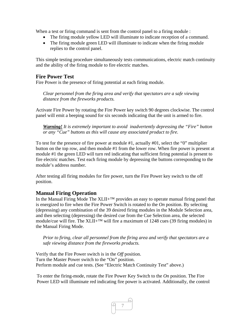When a test or firing command is sent from the control panel to a firing module :

- The firing module yellow LED will illuminate to indicate reception of a command.
- The firing module green LED will illuminate to indicate when the firing module replies to the control panel.

This simple testing procedure simultaneously tests communications, electric match continuity and the ability of the firing module to fire electric matches.

## **Fire Power Test**

Fire Power is the presence of firing potential at each firing module.

*Clear personnel from the firing area and verify that spectators are a safe viewing distance from the fireworks products.* 

Activate Fire Power by rotating the Fire Power key switch 90 degrees clockwise. The control panel will emit a beeping sound for six seconds indicating that the unit is armed to fire.

*Warning! It is extremely important to avoid inadvertently depressing the "Fire" button or any "Cue" buttons as this will cause any associated product to fire.* 

To test for the presence of fire power at module #1, actually #01, select the "0" multiplier button on the top row, and then module #1 from the lower row. When fire power is present at module #1 the green LED will turn red indicating that sufficient firing potential is present to fire electric matches. Test each firing module by depressing the buttons corresponding to the module's address number.

After testing all firing modules for fire power, turn the Fire Power key switch to the off position.

## **Manual Firing Operation**

In the Manual Firing Mode The  $XLII+^{TM}$  provides an easy to operate manual firing panel that is energized to fire when the Fire Power Switch is rotated to the *On* position. By selecting (depressing) any combination of the 39 desired firing modules in the Module Selection area, and then selecting (depressing) the desired cue from the Cue Selection area, the selected module/cue will fire. The XLII+<sup>™</sup> will fire a maximum of 1248 cues (39 firing modules) in the Manual Firing Mode.

*Prior to firing, clear all personnel from the firing area and verify that spectators are a safe viewing distance from the fireworks products.* 

Verify that the Fire Power switch is in the *Off* position. Turn the Master Power switch to the "On" position. Perform module and cue tests. (See "Electric Match Continuity Test" above.)

To enter the firing-mode, rotate the Fire Power Key Switch to the *On* position. The Fire Power LED will illuminate red indicating fire power is activated. Additionally, the control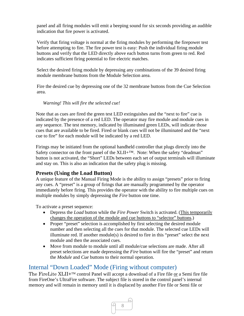panel and all firing modules will emit a beeping sound for six seconds providing an audible indication that fire power is activated.

Verify that firing voltage is normal at the firing modules by performing the firepower test before attempting to fire. The fire power test is easy: Push the individual firing module buttons and verify that the LED directly above each button turns from green to red. Red indicates sufficient firing potential to fire electric matches.

Select the desired firing module by depressing any combinations of the 39 desired firing module membrane buttons from the Module Selection area.

Fire the desired cue by depressing one of the 32 membrane buttons from the Cue Selection area.

*Warning! This will fire the selected cue!*

Note that as cues are fired the green test LED extinguishes and the "next to fire" cue is indicated by the presence of a red LED. The operator may fire module and module cues in any sequence. The test memory, indicated by illuminated green LEDs, will indicate those cues that are available to be fired. Fired or blank cues will not be illuminated and the "next cue to fire" for each module will be indicated by a red LED.

Firings may be initiated from the optional handheld controller that plugs directly into the Safety connector on the front panel of the  $XLII+TM$ . Note: When the safety "deadman" button is not activated, the "Short" LEDs between each set of output terminals will illuminate and stay on. This is also an indication that the safety plug is missing.

## **Presets (Using the Load Button)**

A unique feature of the Manual Firing Mode is the ability to assign "presets" prior to firing any cues. A "preset" is a group of firings that are manually programmed by the operator immediately before firing. This provides the operator with the ability to fire multiple cues on multiple modules by simply depressing the *Fire* button one time.

To activate a preset sequence:

- Depress the *Load* button while the *Fire Power* Switch is activated. (This temporarily changes the operation of the module and cue buttons to "selector" buttons.)
- Proper "preset" selection is accomplished by first selecting the desired module number and then selecting all the cues for that module. The selected cue LEDs will illuminate red. If another module(s) is desired to fire in this "preset" select the next module and then the associated cues.
- Move from module to module until all module/cue selections are made. After all preset selections are made depressing the *Fire* button will fire the "preset" and return the *Module* and *Cue* buttons to their normal operation.

## Internal "Down Loaded" Mode (Firing without computer)

The FireLite XLII+<sup>TM</sup> control Panel will accept a download of a Fire file or a Semi fire file from FireOne's UltraFire software. The subject file is stored in the control panel's internal memory and will remain in memory until it is displaced by another Fire file or Semi file or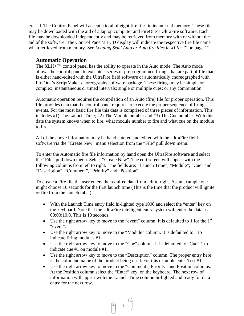erased. The Control Panel will accept a total of eight fire files in its internal memory. These files may be downloaded with the aid of a laptop computer and FireOne's UltraFire software. Each file may be downloaded independently and may be retrieved from memory with or without the aid of the software. The Control Panel's LCD display will indicate the respective fire file name when retrieved from memory. See *Loading Semi Auto or Auto fire files in XLII+™* on page 12.

#### **Automatic Operation**

The XLII+™ control panel has the ability to operate in the Auto mode. The Auto mode allows the control panel to execute a series of preprogrammed firings that are part of file that is either hand-edited with the UltraFire field software or automatically choreographed with FireOne's ScriptMaker choreography software package. These firings may be simple or complex; instantaneous or timed intervals; single or multiple cues; or any combination.

Automatic operation requires the compilation of an Auto (fire) file for proper operation. This file provides data that the control panel requires to execute the proper sequence of firing events. For the most basic fire file this data is comprised of three pieces of information. This includes #1) The Launch Time; #2) The Module number and #3) The Cue number. With this date the system knows when to fire, what module number to fire and what cue on the module to fire.

All of the above information may be hand entered and edited with the UltraFire field software via the "Create New" menu selection from the "File" pull down menu.

To enter the Automatic fire file information by hand open the UltraFire software and select the "File" pull down menu. Select "Create New". The edit screen will appear with the following columns from left to right. The fields are: "Launch Time"; "Module"; "Cue" and "Description", "Comment", "Priority" and "Position".

To create a Fire file the user enters the required data from left to right. As an example one might choose 10 seconds for the first launch time (This is the time that the product will ignite or fire from the launch tube.)

- With the Launch Time entry field hi-lighted type 1000 and select the "enter" key on the keyboard. Note that the UltraFire intelligent entry system will enter the data as 00:00:10.0. This is 10 seconds.
- Use the right arrow key to move to the "event" column. It is defaulted to 1 for the  $1<sup>st</sup>$ "event".
- Use the right arrow key to move to the "Module" column. It is defaulted to 1 to indicate firing modules #1.
- Use the right arrow key to move to the "Cue" column. It is defaulted to "Cue" 1 to indicate cue #1 on module #1.
- Use the right arrow key to move to the "Description" column. The proper entry here is the color and name of the product being used. For this example enter Test #1.
- Use the right arrow key to move to the "Comment"; Priority" and Position columns. At the Position column select the "Enter" key, on the keyboard. The next row of information will appear with the Launch Time column hi-lighted and ready for data entry for the next row.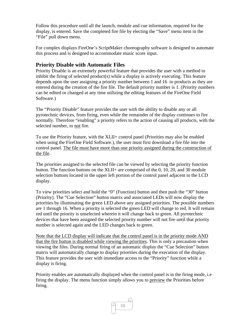Follow this procedure until all the launch, module and cue information, required for the display, is entered. Save the completed fire file by electing the "Save" menu item in the "File" pull down menu.

For complex displays FireOne's ScriptMaker choreography software is designed to automate this process and is designed to accommodate music score input.

## **Priority Disable with Automatic Files**

Priority Disable is an extremely powerful feature that provides the user with a method to inhibit the firing of selected product(s) while a display is actively executing. This feature depends upon the user assigning a priority number between 1 and 16 to products as they are entered during the creation of the fire file. The default priority number is 1. (Priority numbers can be edited or changed at any time utilizing the editing features of the FireOne Field Software.)

The "Priority Disable" feature provides the user with the ability to disable any or all pyrotechnic devices, from firing, even while the remainder of the display continues to fire normally. Therefore "enabling" a priority refers to the action of causing all products, with the selected number, to not fire.

To use the Priority feature, with the XLII+ control panel (Priorities may also be enabled when using the FireOne Field Software.), the user must first download a fire file into the control panel. The file must have more than one priority assigned during the construction of the file.

The priorities assigned to the selected file can be viewed by selecting the priority function button. The function buttons on the  $XLII$ + are comprised of the 0, 10, 20, and 30 module selection buttons located in the upper left portion of the control panel adjacent to the LCD display.

To view priorities select and hold the "0" (Function) button and then push the "30" button (Priority). The "Cue Selection" button matrix and associated LEDs will now display the priorities by illuminating the green LED above any assigned priorities. The possible numbers are 1 through 16. When a priority is selected the green LED will change to red. It will remain red until the priority is unselected wherein it will change back to green. All pyrotechnic devices that have been assigned the selected priority number will not fire until that priority number is selected again and the LED changes back to green.

Note that the LCD display will indicate that the control panel is in the priority mode AND that the fire button is disabled while viewing the priorities. This is only a precaution when viewing the files. During normal firing of an automatic display the "Cue Selection" button matrix will automatically change to display priorities during the execution of the display. This feature provides the user with immediate access to the "Priority" function while a display is firing.

Priority enables are automatically displayed when the control panel is in the firing mode, i.e firing the display. The menu function simply allows you to preview the Priorities before firing.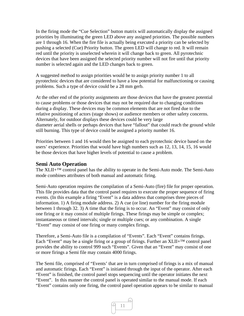In the firing mode the "Cue Selection" button matrix will automatically display the assigned priorities by illuminating the green LED above any assigned priorities. The possible numbers are 1 through 16. When the fire file is actually being executed a priority can be selected by pushing a selected (Cue) Priority button. The green LED will change to red. It will remain red until the priority is unselected wherein it will change back to green. All pyrotechnic devices that have been assigned the selected priority number will not fire until that priority number is selected again and the LED changes back to green.

A suggested method to assign priorities would be to assign priority number 1 to all pyrotechnic devices that are considered to have a low potential for malfunctioning or causing problems. Such a type of device could be a 28 mm gerb.

At the other end of the priority assignments are those devices that have the greatest potential to cause problems or those devices that may not be required due to changing conditions during a display. These devices may be common elements that are not fired due to the relative positioning of actors (stage shows) or audience members or other safety concerns. Alternately, for outdoor displays these devices could be very large diameter aerial shells or perhaps devices that have "fallout" that could reach the ground while still burning. This type of device could be assigned a priority number 16.

Priorities between 1 and 16 would then be assigned to each pyrotechnic device based on the users' experience. Priorities that would have high numbers such as 12, 13, 14, 15, 16 would be those devices that have higher levels of potential to cause a problem.

#### **Semi Auto Operation**

The XLII+™ control panel has the ability to operate in the Semi-Auto mode. The Semi-Auto mode combines attributes of both manual and automatic firing.

Semi-Auto operation requires the compilation of a Semi-Auto (fire) file for proper operation. This file provides data that the control panel requires to execute the proper sequence of firing events. (In this example a firing "Event" is a data address that comprises three pieces of information. 1) A firing module address. 2) A cue (or line) number for the firing module between 1 through 32. 3) A time that the firing is to occur. An "Event" may consist of only one firing or it may consist of multiple firings. These firings may be simple or complex; instantaneous or timed intervals; single or multiple cues; or any combination. A single "Event" may consist of one firing or many complex firings.

Therefore, a Semi-Auto file is a compilation of "Events". Each "Event" contains firings. Each "Event" may be a single firing or a group of firings. Further an  $XLII+TM$  control panel provides the ability to control 999 such "Events". Given that an "Event" may consist of one or more firings a Semi file may contain 4000 firings.

The Semi file, comprised of "Events' that are in turn comprised of firings is a mix of manual and automatic firings. Each "Event" is initiated through the input of the operator. After each "Event" is finished, the control panel stops sequencing until the operator initiates the next "Event". In this manner the control panel is operated similar to the manual mode. If each "Event" contains only one firing, the control panel operation appears to be similar to manual

11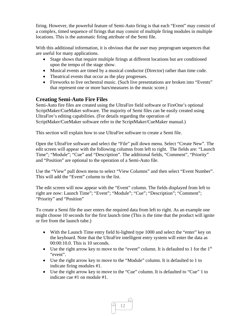firing. However, the powerful feature of Semi-Auto firing is that each "Event" may consist of a complex, timed sequence of firings that may consist of multiple firing modules in multiple locations. This is the automatic firing attribute of the Semi file.

With this additional information, it is obvious that the user may preprogram sequences that are useful for many applications.

- Stage shows that require multiple firings at different locations but are conditioned upon the tempo of the stage show.
- Musical events are timed by a musical conductor (Director) rather than time code.
- Theatrical events that occur as the play progresses.
- Fireworks to live orchestral music. (Such live presentations are broken into "Events" that represent one or more bars/measures in the music score.)

## **Creating Semi-Auto Fire Files**

Semi-Auto fire files are created using the UltraFire field software or FireOne's optional ScriptMaker/CueMaker software. The majority of Semi files can be easily created using UltraFire's editing capabilities. (For details regarding the operation of ScriptMaker/CueMaker software refer to the ScriptMaker/CueMaker manual.)

This section will explain how to use UltraFire software to create a Semi file.

Open the UltraFire software and select the "File" pull down menu. Select "Create New". The edit screen will appear with the following columns from left to right. The fields are: "Launch Time"; "Module"; "Cue" and "Description". The additional fields, "Comment", "Priority" and "Position" are optional to the operation of a Semi-Auto file.

Use the "View" pull down menu to select "View Columns" and then select "Event Number". This will add the "Event" column to the list.

The edit screen will now appear with the "Event" column. The fields displayed from left to right are now: Launch Time"; "Event"; "Module"; "Cue"; "Description"; "Comment"; "Priority" and "Position"

To create a Semi file the user enters the required data from left to right. As an example one might choose 10 seconds for the first launch time (This is the time that the product will ignite or fire from the launch tube.)

- With the Launch Time entry field hi-lighted type 1000 and select the "enter" key on the keyboard. Note that the UltraFire intelligent entry system will enter the data as 00:00:10.0. This is 10 seconds.
- $\bullet$  Use the right arrow key to move to the "event" column. It is defaulted to 1 for the 1<sup>st</sup> "event".
- Use the right arrow key to move to the "Module" column. It is defaulted to 1 to indicate firing modules #1.
- Use the right arrow key to move to the "Cue" column. It is defaulted to "Cue" 1 to indicate cue #1 on module #1.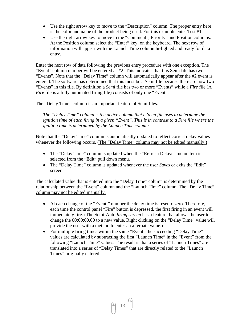- Use the right arrow key to move to the "Description" column. The proper entry here is the color and name of the product being used. For this example enter Test #1.
- Use the right arrow key to move to the "Comment"; Priority" and Position columns. At the Position column select the "Enter" key, on the keyboard. The next row of information will appear with the Launch Time column hi-lighted and ready for data entry.

Enter the next row of data following the previous entry procedure with one exception. The "Event" column number will be entered as #2. This indicates that this Semi file has two "Events". Note that the "Delay Time" column will automatically appear after the #2 event is entered. The software has determined that this must be a Semi file because there are now two "Events" in this file. By definition a *Semi* file has two or more "Events" while a *Fire* file (A *Fire* file is a fully automated firing file) consists of only one "Event".

The "Delay Time" column is an important feature of Semi files.

*The "Delay Time" column is the active column that a Semi file uses to determine the ignition time of each firing in a given "Event". This is in contrast to a Fire file where the ignition time is determined by the Launch Time column.* 

Note that the "Delay Time" column is automatically updated to reflect correct delay values whenever the following occurs. (The "Delay Time" column may not be edited manually.)

- The "Delay Time" column is updated when the "Refresh Delays" menu item is selected from the "Edit" pull down menu.
- The "Delay Time" column is updated whenever the user *Saves* or exits the "Edit" screen.

The calculated value that is entered into the "Delay Time" column is determined by the relationship between the "Event" column and the "Launch Time" column. The "Delay Time" column may not be edited manually.

- At each change of the "Event:" number the delay time is reset to zero. Therefore, each time the control panel "Fire" button is depressed, the first firing in an event will immediately fire. (The Semi-Auto *firing screen* has a feature that allows the user to change the 00:00:00.00 to a new value. Right clicking on the "Delay Time" value will provide the user with a method to enter an alternate value.)
- For multiple firing times within the same "Event" the succeeding "Delay Time" values are calculated by subtracting the first "Launch Time" in the "Event" from the following "Launch Time" values. The result is that a series of "Launch Times" are translated into a series of "Delay Times" that are directly related to the "Launch Times" originally entered.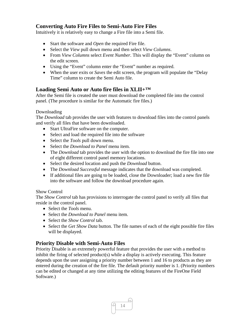## **Converting Auto Fire Files to Semi-Auto Fire Files**

Intuitively it is relatively easy to change a Fire file into a Semi file.

- Start the software and *Open* the required Fire file.
- Select the *View* pull down menu and then select *View Columns*.
- From *View Columns* select *Event Number*. This will display the "Event" column on the edit screen.
- Using the "Event" column enter the "Event" number as required.
- When the user exits or *Saves* the edit screen, the program will populate the "Delay Time" column to create the Semi Auto file.

## **Loading Semi Auto or Auto fire files in XLII+™**

After the Semi file is created the user must download the completed file into the control panel. (The procedure is similar for the Automatic fire files.)

#### Downloading

The *Download* tab provides the user with features to download files into the control panels and verify all files that have been downloaded.

- Start UltraFire software on the computer.
- Select and load the required file into the software
- Select the *Tools* pull down menu.
- Select the *Download to Panel* menu item.
- The *Download* tab provides the user with the option to download the fire file into one of eight different control panel memory locations.
- Select the desired location and push the *Download* button.
- The *Download Successful* message indicates that the download was completed.
- If additional files are going to be loaded, close the Downloader; load a new fire file into the software and follow the download procedure again.

#### Show Control

The *Show Control* tab has provisions to interrogate the control panel to verify all files that reside in the control panel.

- Select the *Tools* menu.
- Select the *Download to Panel* menu item.
- Select the *Show Control* tab.
- Select the *Get Show Data* button. The file names of each of the eight possible fire files will be displayed.

## **Priority Disable with Semi-Auto Files**

Priority Disable is an extremely powerful feature that provides the user with a method to inhibit the firing of selected product(s) while a display is actively executing. This feature depends upon the user assigning a priority number between 1 and 16 to products as they are entered during the creation of the fire file. The default priority number is 1. (Priority numbers can be edited or changed at any time utilizing the editing features of the FireOne Field Software.)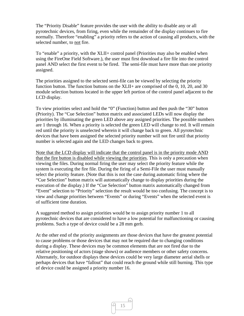The "Priority Disable" feature provides the user with the ability to disable any or all pyrotechnic devices, from firing, even while the remainder of the display continues to fire normally. Therefore "enabling" a priority refers to the action of causing all products, with the selected number, to not fire.

To "enable" a priority, with the XLII+ control panel (Priorities may also be enabled when using the FireOne Field Software.), the user must first download a fire file into the control panel AND select the first event to be fired. The semi-file must have more than one priority assigned.

The priorities assigned to the selected semi-file can be viewed by selecting the priority function button. The function buttons on the XLII+ are comprised of the 0, 10, 20, and 30 module selection buttons located in the upper left portion of the control panel adjacent to the LCD display.

To view priorities select and hold the "0" (Function) button and then push the "30" button (Priority). The "Cue Selection" button matrix and associated LEDs will now display the priorities by illuminating the green LED above any assigned priorities. The possible numbers are 1 through 16. When a priority is selected the green LED will change to red. It will remain red until the priority is unselected wherein it will change back to green. All pyrotechnic devices that have been assigned the selected priority number will not fire until that priority number is selected again and the LED changes back to green.

Note that the LCD display will indicate that the control panel is in the priority mode AND that the fire button is disabled while viewing the priorities. This is only a precaution when viewing the files. During normal firing the user may select the priority feature while the system is executing the fire file. During the firing of a Semi-File the user must manually select the priority feature. (Note that this is not the case during automatic firing where the "Cue Selection" button matrix will automatically change to display priorities during the execution of the display.) If the "Cue Selection" button matrix automatically changed from "Event" selection to "Priority" selection the result would be too confusing. The concept is to view and change priorities between "Events" or during "Events" when the selected event is of sufficient time duration.

A suggested method to assign priorities would be to assign priority number 1 to all pyrotechnic devices that are considered to have a low potential for malfunctioning or causing problems. Such a type of device could be a 28 mm gerb.

At the other end of the priority assignments are those devices that have the greatest potential to cause problems or those devices that may not be required due to changing conditions during a display. These devices may be common elements that are not fired due to the relative positioning of actors (stage shows) or audience members or other safety concerns. Alternately, for outdoor displays these devices could be very large diameter aerial shells or perhaps devices that have "fallout" that could reach the ground while still burning. This type of device could be assigned a priority number 16.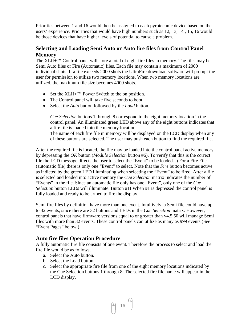Priorities between 1 and 16 would then be assigned to each pyrotechnic device based on the users' experience. Priorities that would have high numbers such as 12, 13, 14 , 15, 16 would be those devices that have higher levels of potential to cause a problem.

## **Selecting and Loading Semi Auto or Auto fire files from Control Panel Memory**

The  $XLI+<sup>TM</sup>$  Control panel will store a total of eight fire files in memory. The files may be Semi Auto files or Fire (Automatic) files. Each file may contain a maximum of 2000 individual shots. If a file exceeds 2000 shots the UltraFire download software will prompt the user for permission to utilize two memory locations. When two memory locations are utilized, the maximum file size becomes 4000 shots.

- Set the XLII+ $TM$  Power Switch to the on position.
- The Control panel will take five seconds to boot.
- Select the *Auto* button followed by the *Load* button.

*Cue Selection* buttons 1 through 8 correspond to the eight memory location in the control panel. An illuminated green LED above any of the eight buttons indicates that a fire file is loaded into the memory location.

The name of each fire file in memory will be displayed on the LCD display when any of these buttons are selected. The user may push each button to find the required file.

After the required file is located, the file may be loaded into the control panel active memory by depressing the *OK* button (*Module Selection* button #6). To verify that this is the correct file the LCD message directs the user to select the "Event" to be loaded. .) For a Fire File (automatic file) there is only one "Event" to select. Note that the *Fire* button becomes active as indicted by the green LED illuminating when selecting the "Event" to be fired. After a file is selected and loaded into active memory the *Cue Selection* matrix indicates the number of "Events" in the file. Since an automatic file only has one "Event", only one of the *Cue Selection* button LEDs will illuminate. Button #1! When #1 is depressed the control panel is fully loaded and ready to be armed to fire the display.

Semi fire files by definition have more than one event. Intuitively, a Semi file could have up to 32 events, since there are 32 buttons and LEDs in the *Cue Selection* matrix. However, control panels that have firmware versions equal to or greater than v4.5.50 will manage Semi files with more than 32 events. These control panels can utilize as many as 999 events (See "Event Pages" below.).

## **Auto fire files Operation Procedure**

A fully automatic fire file consists of one event. Therefore the process to select and load the fire file would be as follows.

- a. Select the Auto button.
- b. Select the Load button
- c. Select the appropriate fire file from one of the eight memory locations indicated by the Cue Selection buttons 1 through 8. The selected fire file name will appear in the LCD display.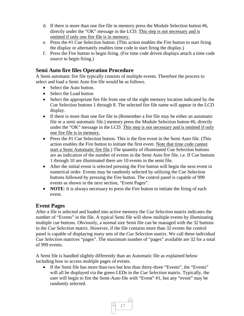- d. If there is more than one fire file in memory press the Module Selection button #6, directly under the "OK" message in the LCD. This step is not necessary and is omitted if only one fire file is in memory.
- e. Press the #1 Cue Selection button. (This action enables the Fire button to start firing the display or alternately enables time code to start firing the display.)
- f. Press the Fire button to begin firing. (For time code driven displays attach a time code source to begin firing.)

## **Semi Auto fire files Operation Procedure**

A Semi automatic fire file typically consists of multiple events. Therefore the process to select and load a Semi Auto fire file would be as follows.

- Select the Auto button.
- Select the Load button
- Select the appropriate fire file from one of the eight memory location indicated by the Cue Selection buttons 1 through 8. The selected fire file name will appear in the LCD display.
- If there is more than one fire file in (Remember a fire file may be either an automatic file or a semi automatic file.) memory press the Module Selection button #6, directly under the "OK" message in the LCD. This step is not necessary and is omitted if only one fire file is in memory.
- Press the #1 Cue Selection button. This is the first event in the Semi Auto file. (This action enables the Fire button to initiate the first event. Note that time code cannot start a Semi Automatic fire file.) The quantity of illuminated Cue Selection buttons are an indication of the number of events in the Semi Auto fire file. i.e. If Cue buttons 1 through 10 are illuminated there are 10 events in the semi file.
- After the initial event is selected pressing the Fire button will begin the next event in numerical order. Events may be randomly selected by utilizing the Cue Selection buttons followed by pressing the Fire button. The control panel is capable of 999 events as shown in the next section, "Event Pages".
- **NOTE:** It is always necessary to press the Fire button to initiate the firing of each event.

## **Event Pages**

After a file is selected and loaded into active memory the *Cue Selection* matrix indicates the number of "Events" in the file. A typical Semi file will show multiple events by illuminating multiple cue buttons. Obviously, a normal size Semi file can be managed with the 32 buttons in the *Cue Selection* matrix. However, if the file contains more than 32 events the control panel is capable of displaying many sets of the *Cue Selection* matrix. We call these individual *Cue Selection* matrices "pages". The maximum number of "pages" available are 32 for a total of 999 events.

A Semi file is handled slightly differently than an Automatic file as explained below including how to access multiple pages of events.

 If the Semi file has more than two but less than thirty-three "Events", the "Events" will all be displayed via the green LEDs in the *Cue Selection* matrix. Typically, the user will begin to fire the Semi-Auto file with "Event" #1, but any "event" may be randomly selected.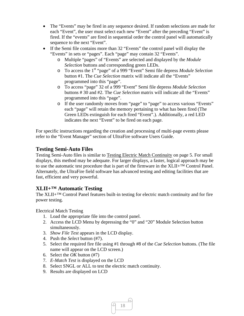- The "Events" may be fired in any sequence desired. If random selections are made for each "Event", the user must select each new "Event" after the preceding "Event" is fired. If the "events" are fired in sequential order the control panel will automatically sequence to the next "Event".
- If the Semi file contains more than 32 "Events" the control panel will display the "Events" in sets or "pages". Each "page" may contain 32 "Events".
	- o Multiple "pages" of "Events" are selected and displayed by the *Module Selection* buttons and corresponding green LEDs.
	- o To access the 1st "page" of a 999 "Event" Semi file depress *Module Selection* button #1. The *Cue Selection* matrix will indicate all the "Events" programmed into this "page".
	- o To access "page" 32 of a 999 "Event" Semi file depress *Module Selection* buttons # 30 and #2. The *Cue Selection* matrix will indicate all the "Events" programmed into this "page".
	- o If the user randomly moves from "page" to "page" to access various "Events" each "page" will retain the memory pertaining to what has been fired (The Green LEDs extinguish for each fired "Event".). Additionally, a red LED indicates the next "Event" to be fired on each page.

For specific instructions regarding the creation and processing of multi-page events please refer to the "Event Manager" section of UltraFire software Users Guide.

## **Testing Semi-Auto Files**

Testing Semi-Auto files is similar to Testing Electric Match Continuity on page 5. For small displays, this method may be adequate. For larger displays, a faster, logical approach may be to use the automatic test procedure that is part of the firmware in the  $XLII+<sup>TM</sup>$  Control Panel. Alternately, the UltraFire field software has advanced testing and editing facilities that are fast, efficient and very powerful.

## **XLII+™ Automatic Testing**

The XLII+™ Control Panel features built-in testing for electric match continuity and for fire power testing.

Electrical Match Testing

- 1. Load the appropriate file into the control panel.
- 2. Access the LCD Menu by depressing the "0" and "20" Module Selection button simultaneously.
- 3. *Show File Test* appears in the LCD display.
- 4. Push the *Select* button (#7).
- 5. Select the required fire file using #1 through #8 of the *Cue Selection* buttons. (The file name will appear on the LCD screen.)
- 6. Select the *OK* button (#7)
- 7. *E-Match Test* is displayed on the LCD
- 8. Select SNGL or ALL to test the electric match continuity.
- 9. Results are displayed on LCD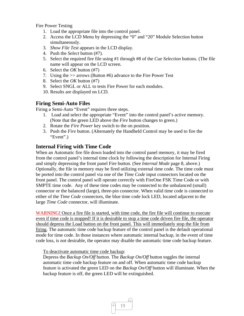Fire Power Testing

- 1. Load the appropriate file into the control panel.
- 2. Access the LCD Menu by depressing the "0" and "20" Module Selection button simultaneously.
- 3. *Show File Test* appears in the LCD display.
- 4. Push the *Select* button (#7).
- 5. Select the required fire file using #1 through #8 of the *Cue Selection* buttons. (The file name will appear on the LCD screen.
- 6. Select the *OK* button (#7)
- 7. Using the >> arrows (Button #6) advance to the Fire Power Test
- 8. Select the *OK* button (#7)
- 9. Select SNGL or ALL to tests Fire Power for each modules.
- 10. Results are displayed on LCD.

## **Firing Semi-Auto Files**

Firing a Semi-Auto "Event" requires three steps.

- 1. Load and select the appropriate "Event" into the control panel's active memory. (Note that the green LED above the *Fire* button changes to green.)
- 2. Rotate the *Fire Power* key switch to the on position.
- 3. Push the *Fire* button. (Alternately the Handheld Control may be used to fire the "Event".)

## **Internal Firing with Time Code**

When an Automatic fire file down loaded into the control panel memory, it may be fired from the control panel's internal time clock by following the description for Internal Firing and simply depressing the front panel Fire button. (See *Internal Mode* page 8, above.) Optionally, the file in memory may be fired utilizing external time code. The time code must be ported into the control panel via one of the *Time Code* input connectors located on the front panel. The control panel will operate correctly with FireOne FSK Time Code or with SMPTE time code. Any of these time codes may be connected to the unbalanced (small) connector or the balanced (large), three-pin connector. When valid time code is connected to either of the *Time Code* connectors, the blue time code lock LED, located adjacent to the large *Time Code* connector, will illuminate.

WARNING! Once a fire file is started, with time code, the fire file will continue to execute even if time code is stopped! If it is desirable to stop a time code driven fire file, the operator should depress the Load button on the front panel. This will immediately stop the file from firing. The automatic time code backup feature of the control panel is the default operational mode for time code. In those instances where automatic internal backup, in the event of time code loss, is not desirable, the operator may disable the automatic time code backup feature.

#### To deactivate automatic time code backup:

Depress the *Backup On/Off* button. The *Backup On/Off* button toggles the internal automatic time code backup feature on and off. When automatic time code backup feature is activated the green LED on the *Backup On/Off* button will illuminate. When the backup feature is off, the green LED will be extinguished.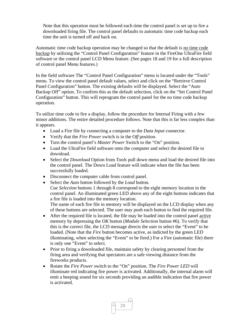Note that this operation must be followed each time the control panel is set up to fire a downloaded firing file. The control panel defaults to automatic time code backup each time the unit is turned off and back on.

Automatic time code backup operation may be changed so that the default is no time code backup by utilizing the "Control Panel Configuration" feature in the FireOne UltraFire field software or the control panel LCD Menu feature. (See pages 18 and 19 for a full description of control panel Menu features.)

In the field software The "Control Panel Configuration" menu is located under the "Tools" menu. To view the control panel default values, select and click on the "Retrieve Control Panel Configuration" button. The existing defaults will be displayed. Select the "Auto Backup Off" option. To confirm this as the default selection, click on the "Set Control Panel Configuration" button. This will reprogram the control panel for the no time code backup operation.

To utilize time code to fire a display, follow the procedure for Internal Firing with a few minor additions. The entire detailed procedure follows. Note that this is far less complex than it appears.

- Load a Fire file by connecting a computer to the *Data Input* connector.
- Verify that the *Fire Power* switch is in the O*ff* position.
- Turn the control panel's *Master Power* Switch to the "On" position.
- Load the UltraFire field software onto the computer and select the desired file to download.
- Select the *Download* Option from *Tools* pull down menu and load the desired file into the control panel. The Down Load feature will indicate when the file has been successfully loaded.
- Disconnect the computer cable from control panel.
- Select the *Auto* button followed by the *Load* button. *Cue Selection* buttons 1 through 8 correspond to the eight memory location in the control panel. An illuminated green LED above any of the eight buttons indicates that a fire file is loaded into the memory location. The name of each fire file in memory will be displayed on the LCD display when any of these buttons are selected. The user may push each button to find the required file.
- After the required file is located, the file may be loaded into the control panel active memory by depressing the *OK* button (*Module Selection* button #6). To verify that this is the correct file, the LCD message directs the user to select the "Event" to be loaded. (Note that the *Fire* button becomes active, as indicted by the green LED illuminating, when selecting the "Event" to be fired.) For a Fire (automatic file) there is only one "Event" to select.
- Prior to firing a downloaded file, maintain safety by clearing personnel from the firing area and verifying that spectators are a safe viewing distance from the fireworks products.
- Rotate the *Fire Power* switch to the "On" position. The *Fire Power LED* will illuminate red indicating fire power is activated. Additionally, the internal alarm will emit a beeping sound for six seconds providing an audible indication that fire power is activated.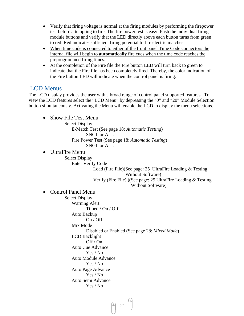- Verify that firing voltage is normal at the firing modules by performing the firepower test before attempting to fire. The fire power test is easy: Push the individual firing module buttons and verify that the LED directly above each button turns from green to red. Red indicates sufficient firing potential to fire electric matches.
- When time code is connected to either of the front panel Time Code connectors the internal file will begin to **automatically** fire cues when the time code reaches the preprogrammed firing times.
- At the completion of the Fire file the Fire button LED will turn back to green to indicate that the Fire file has been completely fired. Thereby, the color indication of the Fire button LED will indicate when the control panel is firing.

## LCD Menus

The LCD display provides the user with a broad range of control panel supported features. To view the LCD features select the "LCD Menu" by depressing the "0" and "20" Module Selection button simultaneously. Activating the Menu will enable the LCD to display the menu selections.

• Show File Test Menu Select Display E-Match Test (See page 18: *Automatic Testing*) SNGL or ALL Fire Power Test (See page 18: *Automatic Testing*) SNGL or ALL • UltraFire Menu Select Display Enter Verify Code Load (Fire File)(See page: 25 UltraFire Loading & Testing Without Software) Verify (Fire File) )(See page: 25 UltraFire Loading & Testing Without Software) • Control Panel Menu Select Display Warning Alert Timed / On / Off Auto Backup On / Off Mix Mode Disabled or Enabled (See page 28: *Mixed Mode*) LCD Backlight Off / On Auto Cue Advance Yes / No Auto Module Advance Yes / No Auto Page Advance Yes / No Auto Semi Advance Yes / No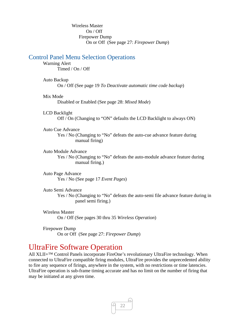Wireless Master On / Off Firepower Dump On or Off (See page 27: *Firepower Dump*)

#### Control Panel Menu Selection Operations

Warning Alert Timed / On / Off

#### Auto Backup

On / Off (See page 19 *To Deactivate automatic time code backup*)

#### Mix Mode

Disabled or Enabled (See page 28: *Mixed Mode*)

#### LCD Backlight

Off / On (Changing to "ON" defaults the LCD Backlight to always ON)

#### Auto Cue Advance

Yes / No (Changing to "No" defeats the auto-cue advance feature during manual firing)

#### Auto Module Advance

Yes / No (Changing to "No" defeats the auto-module advance feature during manual firing.)

Auto Page Advance Yes / No (See page 17 *Event Pages*)

#### Auto Semi Advance

Yes / No (Changing to "No" defeats the auto-semi file advance feature during in panel semi firing.)

#### Wireless Master On / Off (See pages 30 thru 35 *Wireless Operation*)

Firepower Dump On or Off (See page 27: *Firepower Dump*)

## UltraFire Software Operation

All XLII+™ Control Panels incorporate FireOne's revolutionary UltraFire technology. When connected to UltraFire compatible firing modules, UltraFire provides the unprecedented ability to fire any sequence of firings, anywhere in the system, with no restrictions or time latencies. UltraFire operation is sub-frame timing accurate and has no limit on the number of firing that may be initiated at any given time.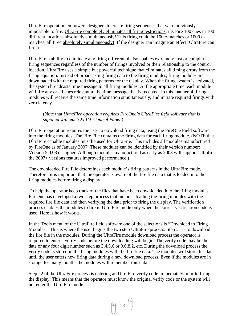UltraFire operation empowers designers to create firing sequences that were previously impossible to fire. UltraFire completely eliminates all firing restrictions: i.e. Fire 100 cues in 100 different locations absolutely simultaneously! This firing could be 100 e-matches or 1000 ematches, all fired absolutely simultaneously!If the designer can imagine an effect, UltraFire can fire it!

UltraFire's ability to eliminate any firing differential also enables extremely fast or complex firing sequences regardless of the number of firings involved or their relationship to the control location. UltraFire uses a simple but powerful technique that eliminates all timing errors from the firing equation. Instead of broadcasting firing data to the firing modules, firing modules are downloaded with the required firing patterns for the display. When the firing system is activated, the system broadcasts time message to all firing modules. At the appropriate time, each module will fire any or all cues relevant to the time message that is received. In this manner all firing modules will receive the same time information simultaneously, and initiate required firings with zero latency.

#### (Note that *UltraFire operation requires FireOne's UltraFire field software that is supplied with each XLII+ Control Panel.*)

UltraFire operation requires the user to download firing data, using the FireOne Field software, into the firing modules. The Fire File contains the firing data for each firing module. (NOTE that UltraFire capable modules must be used for UltraFire. This includes all modules manufactured by FireOne as of January 2007. These modules can be identified by their version number: Version 5.0.08 or higher. Although modules manufactured as early as 2003 will support Ultrafire the 2007+ versions features improved performance.)

The downloaded Fire File determines each module's firing patterns in the UltraFire mode. Therefore, it is important that the operator is aware of the fire file data that is loaded into the firing modules before firing a display.

To help the operator keep track of the files that have been downloaded into the firing modules, FireOne has developed a two step process that includes loading the firing modules with the required fire file data and then verifying the data prior to firing the display. The verification process enables the modules to fire in UltraFire mode only when the correct verification code is used. Here is how it works.

In the Tools menu of the UltraFire field software one of the selections is "Download to Firing Modules". This is where the user begins the two step UltraFire process. Step #1 is to download the fire file in the modules. During the UltraFire module download process the operator is required to enter a verify code before the downloading will begin. The verify code may be the date or any four digit number such as 3,4,5,6 or 9,0,8,2, etc. During the download process the verify code is stored in the firing modules with the fire file data. The modules will store this data until the user enters new firing data during a new download process. Even if the modules are in storage for many months the modules will remember this data.

Step #2 of the UltraFire process is entering an UltraFire verify code immediately prior to firing the display. This means that the operator must know the original verify code or the system will not enter the UltraFire mode.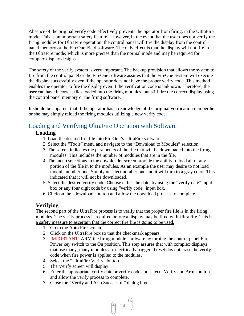Absence of the original verify code effectively prevents the operator from firing, in the UltraFire mode. This is an important safety feature! However, in the event that the user does not verify the firing modules for UltraFire operation, the control panel will fire the display from the control panel memory or the FireOne Field software. The only effect is that the display will not fire in the UltraFire mode; which is more precise than the normal mode and may be required for complex display designs.

The safety of the verify system is very important. The backup provision that allows the system to fire from the control panel or the FireOne software assures that the FireOne System will execute the display successfully even if the operator does not have the proper verify code. This method enables the operator to fire the display even if the verification code is unknown. Therefore, the user can have incorrect files loaded into the firing modules, but still fire the correct display using the control panel memory or the firing software.

It should be apparent that if the operator has no knowledge of the original verification number he or she may simply reload the firing modules utilizing a new verify code.

## Loading and Verifying UltraFire Operation with Software

## **Loading**

- 1. Load the desired fire file into FireOne's UltraFire software.
- 2. Select the "Tools" menu and navigate to the "Download to Modules" selection.
- 3. The screen indicates the parameters of the file that will be downloaded into the firing modules. This includes the number of modules that are in the file.
- 4. The menu selections in the downloader screen provide the ability to load all or any portion of the file in to the modules. As an example the user may desire to not load module number one. Simply unselect number one and it will turn to a gray color. This indicated that it will not be downloaded.
- 5. Select the desired verify code. Choose either the date, by using the "verify date" input box or any four digit code by using "verify code" input box.
- 6. Click on the "download" button and allow the download process to complete.

## **Verifying**

The second part of the UltraFire process is to verify that the proper fire file is in the firing modules. The verify process is required before a display may be fired with UltraFire. This is a safety measure to ascertain that the correct fire file is going to be used.

- 1. Go to the Auto Fire screen.
- 2. Click on the UltraFire box so that the checkmark appears.
- 3. IMPORTANT! ARM the firing module hardware by turning the control panel Fire Power key switch to the On position. This step assures that with complex displays that use many, many modules an electrically triggered reset dos not erase the verify code when fire power is applied to the modules.
- 4. Select the "UltraFire Verify" button.
- 5. The Verify screen will display.
- 6. Enter the appropriate verify date or verify code and select "Verify and Arm" button and allow the verify process to complete.
- 7. Close the "Verify and Arm Successful" dialog box.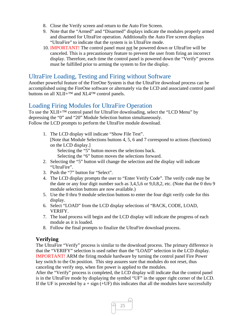- 8. Close the Verify screen and return to the Auto Fire Screen.
- 9. Note that the "Armed" and "Disarmed" displays indicate the modules properly armed and disarmed for UltraFire operation. Additionally the Auto Fire screen displays "UltraFire" to indicate that the system is in UltraFire mode.
- 10. IMPORTANT! The control panel must not be powered down or UltraFire will be canceled. This is a precautionary feature to prevent the user from firing an incorrect display. Therefore, each time the control panel is powered down the "Verify" process must be fulfilled prior to arming the system to fire the display.

## UltraFire Loading, Testing and Firing without Software

Another powerful feature of the FireOne System is that the UltraFire download process can be accomplished using the FireOne software or alternately via the LCD and associated control panel buttons on all XLII+™ and XL4™ control panels.

## Loading Firing Modules for UltraFire Operation

To use the XLII+™ control panel for UltraFire downloading, select the "LCD Menu" by depressing the "0" and "20" Module Selection button simultaneously. Follow the LCD prompts to perform the UltraFire module download.

1. The LCD display will indicate "Show File Test". [Note that Module Selections buttons 4, 5, 6 and 7 correspond to actions (functions) on the LCD display.]

Selecting the "5" button moves the selections back.

Selecting the "6" button moves the selections forward.

- 2. Selecting the "5" button will change the selection and the display will indicate "UltraFire".
- 3. Push the "7" button for "Select".
- 4. The LCD display prompts the user to "Enter Verify Code". The verify code may be the date or any four digit number such as 3,4,5,6 or 9,0,8,2, etc. (Note that the 0 thru 9 module selection buttons are now available.)
- 5. Use the 0 thru 9 module selection buttons to enter the four digit verify code for this display.
- 6. Select "LOAD" from the LCD display selections of "BACK, CODE, LOAD, VERIFY.
- 7. The load process will begin and the LCD display will indicate the progress of each module as it is loaded.
- 8. Follow the final prompts to finalize the UltraFire download process.

## **Verifying**

The UltraFire "Verify" process is similar to the download process. The primary difference is that the "VERIFY" selection is used rather than the "LOAD" selection in the LCD display. IMPORTANT! ARM the firing module hardware by turning the control panel Fire Power key switch to the On position. This step assures sure that modules do not reset, thus canceling the verify step, when fire power is applied to the modules.

After the "Verify" process is completed, the LCD display will indicate that the control panel is in the UltraFire mode by displaying the symbol "UF" in the upper right corner of the LCD. If the UF is preceded by  $a + sign (+UF)$  this indicates that all the modules have successfully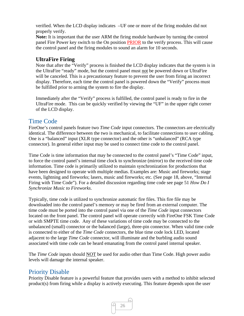verified. When the LCD display indicates –UF one or more of the firing modules did not properly verify.

**Note:** It is important that the user ARM the firing module hardware by turning the control panel Fire Power key switch to the On position PRIOR to the verify process. This will cause the control panel and the firing modules to sound an alarm for 10 seconds.

### **UltraFire Firing**

Note that after the "Verify" process is finished the LCD display indicates that the system is in the UltraFire "ready" mode, but the control panel must not be powered down or UltraFire will be canceled. This is a precautionary feature to prevent the user from firing an incorrect display. Therefore, each time the control panel is powered down the "Verify" process must be fulfilled prior to arming the system to fire the display.

Immediately after the "Verify" process is fulfilled, the control panel is ready to fire in the UltraFire mode. This can be quickly verified by viewing the "UF" in the upper right corner of the LCD display.

## Time Code

FireOne's control panels feature two *Time Code* input connectors. The connectors are electrically identical. The difference between the two is mechanical, to facilitate connections to user cabling. One is a "balanced" input (XLR type connector) and the other is "unbalanced" (RCA type connector). In general either input may be used to connect time code to the control panel.

Time Code is time information that may be connected to the control panel's "Time Code" input, to force the control panel's internal time clock to synchronize (mirror) to the received time code information. Time code is primarily utilized to maintain synchronization for productions that have been designed to operate with multiple medias. Examples are: Music and fireworks; stage events, lightning and fireworks; lasers, music and fireworks; etc. (See page 18, above, "Internal Firing with Time Code"). For a detailed discussion regarding time code see page 51 *How Do I Synchronize Music to Fireworks*.

Typically, time code is utilized to synchronize automatic fire files. This fire file may be downloaded into the control panel's memory or may be fired from an external computer. The time code must be ported into the control panel via one of the *Time Code* input connectors located on the front panel. The control panel will operate correctly with FireOne FSK Time Code or with SMPTE time code. Any of these variations of time code may be connected to the unbalanced (small) connector or the balanced (large), three-pin connector. When valid time code is connected to either of the *Time Code* connectors, the blue time code lock LED, located adjacent to the large *Time Code* connector, will illuminate and the burbling audio sound associated with time code can be heard emanating from the control panel internal speaker.

The *Time Code* inputs should NOT be used for audio other than Time Code. High power audio levels will damage the internal speaker.

## Priority Disable

Priority Disable feature is a powerful feature that provides users with a method to inhibit selected product(s) from firing while a display is actively executing. This feature depends upon the user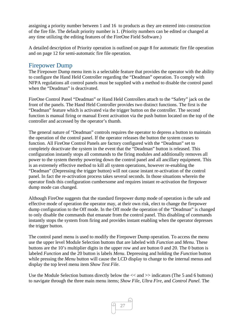assigning a priority number between 1 and 16 to products as they are entered into construction of the fire file. The default priority number is 1. (Priority numbers can be edited or changed at any time utilizing the editing features of the FireOne Field Software.)

A detailed description of Priority operation is outlined on page 8 for automatic fire file operation and on page 12 for semi-automatic fire file operation.

## Firepower Dump

The Firepower Dump menu item is a selectable feature that provides the operator with the ability to configure the Hand Held Controller regarding the "Deadman" operation. To comply with NFPA regulations all control panels must be supplied with a method to disable the control panel when the "Deadman" is deactivated.

FireOne Control Panel "Deadman" or Hand Held Controllers attach to the "Safety" jack on the front of the panels. The Hand Held Controller provides two distinct functions. The first is the "Deadman" feature which is activated via the trigger button on the controller. The second function is manual firing or manual Event activation via the push button located on the top of the controller and accessed by the operator's thumb.

The general nature of "Deadman" controls requires the operator to depress a button to maintain the operation of the control panel. If the operator releases the button the system ceases to function. All FireOne Control Panels are factory configured with the "Deadman" set to completely deactivate the system in the event that the "Deadman" button is released. This configuration instantly stops all commands to the firing modules and additionally removes all power to the system thereby powering down the control panel and all ancillary equipment. This is an extremely effective method to kill all system operations, however re-enabling the "Deadman" (Depressing the trigger button) will not cause instant re-activation of the control panel. In fact the re-activation process takes several seconds. In those situations wherein the operator finds this configuration cumbersome and requires instant re-activation the firepower dump mode can changed.

Although FireOne suggests that the standard firepower dump mode of operation is the safe and effective mode of operation the operator may, at their own risk, elect to change the firepower dump configuration to the Off mode. In the Off mode the operation of the "Deadman" is changed to only disable the commands that emanate from the control panel. This disabling of commands instantly stops the system from firing and provides instant enabling when the operator depresses the trigger button.

The control panel menu is used to modify the Firepower Dump operation. To access the menu use the upper level Module Selection buttons that are labeled with *Function* and *Menu*. These buttons are the 10's multiplier digits in the upper row and are button 0 and 20. The 0 button is labeled *Function* and the 20 button is labels *Menu*. Depressing and holding the *Function* button while pressing the *Menu* button will cause the LCD display to change to the internal menus and display the top level menu item *Show Test File*.

Use the Module Selection buttons directly below the << and >> indicators (The 5 and 6 buttons) to navigate through the three main menu items; *Show File*, *Ultra Fire*, and *Control Panel*. The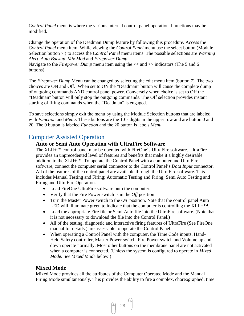*Control Panel* menu is where the various internal control panel operational functions may be modified.

Change the operation of the Deadman Dump feature by following this procedure. Access the *Control Panel* menu item. While viewing the *Control Panel* menu use the select button (Module Selection button 7.) to access the *Control Panel* menu items. The possible selections are *Warning Alert*, *Auto Backup*, *Mix Mod* and *Firepower Dump*.

Navigate to the *Firepower Dump* menu item using the  $<<$  and  $>>$  indicators (The 5 and 6) buttons).

The *Firepower Dump* Menu can be changed by selecting the edit menu item (button 7). The two choices are ON and Off. When set to ON the "Deadman" button will cause the complete dump of outgoing commands AND control panel power. Conversely when choice is set to Off the "Deadman" button will only stop the outgoing commands. The Off selection provides instant starting of firing commands when the "Deadman" is engaged.

To save selections simply exit the menu by using the Module Selection buttons that are labeled with *Function* and *Menu*. These buttons are the 10's digits in the upper row and are button 0 and 20. The 0 button is labeled *Function* and the 20 button is labels *Menu*.

## Computer Assisted Operation

## **Auto or Semi Auto Operation with UltraFire Software**

The XLII+™ control panel may be operated with FireOne's UltraFire software. UltraFire provides an unprecedented level of features and benefits that make it a highly desirable addition to the  $XLII+<sup>TM</sup>$ . To operate the Control Panel with a computer and UltraFire software, connect the computer serial connector to the Control Panel's *Data Input* connector. All of the features of the control panel are available through the UltraFire software. This includes Manual Testing and Firing; Automatic Testing and Firing; Semi Auto Testing and Firing and UltraFire Operation.

- Load FireOne UltraFire software onto the computer.
- Verify that the Fire Power switch is in the *Off* position.
- Turn the Master Power switch to the *On* position. Note that the control panel Auto LED will illuminate green to indicate that the computer is controlling the XLII+™.
- Load the appropriate Fire file or Semi Auto file into the UltraFire software. (Note that it is not necessary to download the file into the Control Panel.)
- All of the testing, diagnostic and interactive firing features of UltraFire (See FireOne manual for details.) are assessable to operate the Control Panel.
- When operating a Control Panel with the computer, the Time Code inputs, Hand-Held Safety controller, Master Power switch, Fire Power switch and Volume up and down operate normally. Most other buttons on the membrane panel are not activated when a computer is connected. (Unless the system is configured to operate in *Mixed Mode*. See *Mixed Mode* below.)

## **Mixed Mode**

Mixed Mode provides all the attributes of the Computer Operated Mode and the Manual Firing Mode simultaneously. This provides the ability to fire a complex, choreographed, time

28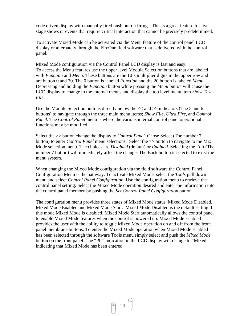code driven display with manually fired push button firings. This is a great feature for live stage shows or events that require critical interaction that cannot be precisely predetermined.

To activate Mixed Mode can be activated via the Menu feature of the control panel LCD display or alternately through the FireOne field software that is delivered with the control panel.

Mixed Mode configuration via the Control Panel LCD display is fast and easy. To access the Menu features use the upper level Module Selection buttons that are labeled with *Function* and *Menu*. These buttons are the 10's multiplier digits in the upper row and are button 0 and 20. The 0 button is labeled *Function* and the 20 button is labeled *Menu*. Depressing and holding the *Function* button while pressing the *Menu* button will cause the LCD display to change to the internal menus and display the top level menu item *Show Test File*.

Use the Module Selection buttons directly below the << and >> indicators (The 5 and 6 buttons) to navigate through the three main menu items; *Show File*, *Ultra Fire*, and *Control Panel*. The *Control Panel* menu is where the various internal control panel operational functions may be modified.

Select the >> button change the display to *Control Panel*. Chose Select (The number 7 button) to enter *Control Panel* menu selections. Select the >> button to navigate to the Mix Mode selection menu. The choices are *Disabled* (default) or *Enabled*. Selecting the Edit (The number 7 button) will immediately affect the change. The Back button is selected to exist the menu system.

When changing the Mixed Mode configuration via the field software the Control Panel Configuration Menu is the pathway. To activate Mixed Mode, select the *Tools* pull down menu and select *Control Panel Configuration*. Use the configuration menu to retrieve the control panel setting. Select the Mixed Mode operation desired and enter the information into the control panel memory by pushing the *Set Control Panel Configuration* button.

The configuration menu provides three states of Mixed Mode status. Mixed Mode Disabled, Mixed Mode Enabled and Mixed Mode Start. Mixed Mode Disabled is the default setting. In this mode Mixed Mode is disabled. Mixed Mode Start automatically allows the control panel to enable Mixed Mode features when the control is powered up. Mixed Mode Enabled provides the user with the ability to toggle Mixed Mode operation on and off from the front panel membrane buttons. To enter the Mixed Mode operation when Mixed Mode Enabled has been selected through the software Tools menu simply select and push the *Mixed Mode* button on the front panel. The "PC" indication in the LCD display will change to "Mixed" indicating that Mixed Mode has been entered.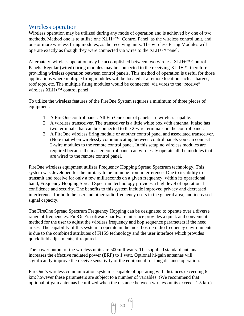## Wireless operation

Wireless operation may be utilized during any mode of operation and is achieved by one of two methods. Method one is to utilize one XLII+<sup>TM</sup> Control Panel, as the wireless control unit, and one or more wireless firing modules, as the receiving units. The wireless Firing Modules will operate exactly as though they were connected via wires to the  $XLII + TM$  panel.

Alternately, wireless operation may be accomplished between two wireless  $XLII + TM$  Control Panels. Regular (wired) firing modules may be connected to the receiving  $XLII+^{TM}$ , therefore providing wireless operation between control panels. This method of operation is useful for those applications where multiple firing modules will be located at a remote location such as barges, roof tops, etc. The multiple firing modules would be connected, via wires to the "receive" wireless  $XLII+^{TM}$  control panel.

To utilize the wireless features of the FireOne System requires a minimum of three pieces of equipment.

- 1. A FireOne control panel. All FireOne control panels are wireless capable.
- 2. A wireless transceiver. The transceiver is a little white box with antenna. It also has two terminals that can be connected to the 2-wire terminals on the control panel.
- 3. A FireOne wireless firing module or another control panel and associated transceiver. (Note that when wirelessly communicating between control panels you can connect 2-wire modules to the remote control panel. In this setup no wireless modules are required because the master control panel can wirelessly operate all the modules that are wired to the remote control panel.

FireOne wireless equipment utilizes Frequency Hopping Spread Spectrum technology. This system was developed for the military to be immune from interference. Due to its ability to transmit and receive for only a few milliseconds on a given frequency, within its operational band, Frequency Hopping Spread Spectrum technology provides a high level of operational confidence and security. The benefits to this system include improved privacy and decreased interference, for both the user and other radio frequency users in the general area, and increased signal capacity.

The FireOne Spread Spectrum Frequency Hopping can be designated to operate over a diverse range of frequencies. FireOne's software-hardware interface provides a quick and convenient method for the user to adjust the wireless frequency and hop sequence parameters if the need arises. The capability of this system to operate in the most hostile radio frequency environments is due to the combined attributes of FHSS technology and the user interface which provides quick field adjustments, if required.

The power output of the wireless units are 500milliwatts. The supplied standard antenna increases the effective radiated power (ERP) to 1 watt. Optional hi-gain antennas will significantly improve the receive sensitivity of the equipment for long distance operation.

FireOne's wireless communication system is capable of operating with distances exceeding 6 km; however these parameters are subject to a number of variables. (We recommend that optional hi-gain antennas be utilized when the distance between wireless units exceeds 1.5 km.)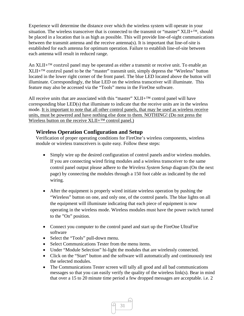Experience will determine the distance over which the wireless system will operate in your situation. The wireless transceiver that is connected to the transmit or "master"  $XLII+^{TM}$ , should be placed in a location that is as high as possible. This will provide line-of-sight communications between the transmit antenna and the receive antenna(s). It is important that line-of-site is established for each antenna for optimum operation. Failure to establish line-of-site between each antenna will result in reduced range.

An  $XLII+<sup>TM</sup>$  control panel may be operated as either a transmit or receive unit. To enable an  $XLII + T^M$  control panel to be the "master" transmit unit, simply depress the "Wireless" button located in the lower right corner of the front panel. The blue LED located above the button will illuminate. Correspondingly, the blue LED on the wireless transceiver will illuminate. This feature may also be accessed via the "Tools" menu in the FireOne software.

All receive units that are associated with this "master"  $XLII+TM$  control panel will have corresponding blue LED(s) that illuminate to indicate that the receive units are in the wireless mode. It is important to note that all other control panels, that may be used as wireless receive units, must be powered and have nothing else done to them. NOTHING! (Do not press the Wireless button on the receive XLII+™ control panel.)

## **Wireless Operation Configuration and Setup**

Verification of proper operating conditions for FireOne's wireless components, wireless module or wireless transceivers is quite easy. Follow these steps:

- Simply wire up the desired configuration of control panels and/or wireless modules. If you are connecting wired firing modules and a wireless transceiver to the same control panel output please adhere to the *Wireless System Setup* diagram (On the next page) by connecting the modules through a 150 foot cable as indicated by the red wiring.
- After the equipment is properly wired initiate wireless operation by pushing the "Wireless" button on one, and only one, of the control panels. The blue lights on all the equipment will illuminate indicating that each piece of equipment is now operating in the wireless mode. Wireless modules must have the power switch turned to the "On" position.
- Connect you computer to the control panel and start up the FireOne UltraFire software
- Select the "Tools" pull-down menu.
- Select Communications Tester from the menu items.
- Under "Module Selection" hi-light the modules that are wirelessly connected.
- Click on the "Start" button and the software will automatically and continuously test the selected modules.
- The Communications Tester screen will tally all good and all bad communications messages so that you can easily verify the quality of the wireless link(s). Bear in mind that over a 15 to 20 minute time period a few dropped messages are acceptable. i.e. 2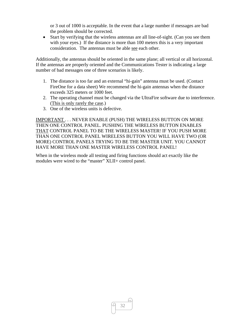or 3 out of 1000 is acceptable. In the event that a large number if messages are bad the problem should be corrected.

 Start by verifying that the wireless antennas are all line-of-sight. (Can you see them with your eyes.) If the distance is more than 100 meters this is a very important consideration. The antennas must be able see each other.

Additionally, the antennas should be oriented in the same plane; all vertical or all horizontal. If the antennas are properly oriented and the Communications Tester is indicating a large number of bad messages one of three scenarios is likely.

- 1. The distance is too far and an external "hi-gain" antenna must be used. (Contact FireOne for a data sheet) We recommend the hi-gain antennas when the distance exceeds 325 meters or 1000 feet.
- 2. The operating channel must be changed via the UltraFire software due to interference. (This is only rarely the case.)
- 3. One of the wireless units is defective.

IMPORTANT . . . NEVER ENABLE (PUSH) THE WIRELESS BUTTON ON MORE THEN ONE CONTROL PANEL. PUSHING THE WIRELESS BUTTON ENABLES THAT CONTROL PANEL TO BE THE WIRELESS MASTER! IF YOU PUSH MORE THAN ONE CONTROL PANEL WIRELESS BUTTON YOU WILL HAVE TWO (OR MORE) CONTROL PANELS TRYING TO BE THE MASTER UNIT. YOU CANNOT HAVE MORE THAN ONE MASTER WIRELESS CONTROL PANEL!

When in the wireless mode all testing and firing functions should act exactly like the modules were wired to the "master" XLII+ control panel.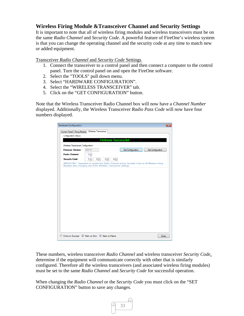## **Wireless Firing Module &Transceiver Channel and Security Settings**

It is important to note that all of wireless firing modules and wireless transceivers must be on the same *Radio Channel* and *Security Code*. A powerful feature of FireOne's wireless system is that you can change the operating channel and the security code at any time to match new or added equipment.

Transceiver *Radio Channel* and *Security Code* Settings

- 1. Connect the transceiver to a control panel and then connect a computer to the control panel. Turn the control panel on and open the FireOne software.
- 2. Select the "TOOLS" pull down menu.
- 3. Select "HARDWARE CONFIGURATION".
- 4. Select the "WIRELESS TRANSCEIVER" tab.
- 5. Click on the "GET CONFIGURATION" button.

Note that the Wireless Transceiver Radio Channel box will now have a *Channel Number* displayed. Additionally, the Wireless Transceiver *Radio Pass Code* will now have four numbers displayed.

| <b>Hardware Configuration</b>         |                                                                                                                                                                 | $\mathbf{x}$ |
|---------------------------------------|-----------------------------------------------------------------------------------------------------------------------------------------------------------------|--------------|
| <b>Firing Module</b><br>Control Panel | <b>Wireless Transceiver</b>                                                                                                                                     |              |
| <b>Configuration Status</b>           |                                                                                                                                                                 |              |
|                                       | <b>Retrieve Successful</b>                                                                                                                                      |              |
|                                       |                                                                                                                                                                 |              |
| Wireless Transceiver Configuration    |                                                                                                                                                                 |              |
| <b>Firmware Version:</b>              | 2.01.01<br><b>Get Configuration</b><br>Set Configuration                                                                                                        |              |
| <b>Radio Channel:</b>                 | $1\frac{A}{r}$                                                                                                                                                  |              |
| <b>Security Code:</b>                 | 1층<br>$2\left  \right $<br>$3\frac{1}{2}$<br>$4\frac{1}{7}$                                                                                                     |              |
|                                       | IMPORTANT: Remember to update the Radio Channel and/or Security Code on all Wireless Firing<br>Modules after changing any of the Wireless Transceiver settings. |              |
|                                       |                                                                                                                                                                 |              |
|                                       |                                                                                                                                                                 |              |
|                                       |                                                                                                                                                                 |              |
|                                       |                                                                                                                                                                 |              |
|                                       |                                                                                                                                                                 |              |
|                                       |                                                                                                                                                                 |              |
|                                       |                                                                                                                                                                 |              |
|                                       |                                                                                                                                                                 |              |
|                                       |                                                                                                                                                                 |              |
|                                       |                                                                                                                                                                 |              |
|                                       |                                                                                                                                                                 |              |
|                                       |                                                                                                                                                                 |              |
|                                       |                                                                                                                                                                 |              |
|                                       |                                                                                                                                                                 |              |
|                                       |                                                                                                                                                                 |              |
|                                       |                                                                                                                                                                 |              |
|                                       | Chime on Success V Wam on Error V Alam on Failure<br>Close                                                                                                      |              |

These numbers, wireless transceiver *Radio Channel* and wireless transceiver *Security Code*, determine if the equipment will communicate correctly with other that is similarly configured. Therefore all the wireless transceivers (and associated wireless firing modules) must be set to the same *Radio Channel* and *Security Code* for successful operation.

When changing the *Radio Channel* or the *Security Code* you must click on the "SET CONFIGURATION" button to save any changes.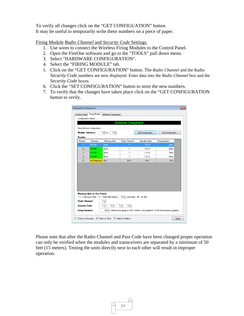To verify all changes click on the "GET CONFIGUATION" button. It may be useful to temporarily write these numbers on a piece of paper.

Firing Module *Radio Channel* and *Security Code* Settings

- 1. Use wires to connect the Wireless Firing Modules to the Control Panel.
- 2. Open the FireOne software and go to the "TOOLS" pull down menu.
- 3. Select "HARDWARE CONFIGURATION".
- 4. Select the "FIRING MODULE" tab.
- 5. Click on the "GET CONFIGURATION" button. The *Radio Channel* and the Radio *Security Code* numbers are now displayed. Enter data into the *Radio Channel* box and the *Security Code* boxes.
- 6. Click the "SET CONFIGURATION" button to store the new numbers.
- 7. To verify that the changes have taken place click on the "GET CONFIGURATION button to verify.

|                       | Firing Module Configuration  |                                               |               |                          |                        |
|-----------------------|------------------------------|-----------------------------------------------|---------------|--------------------------|------------------------|
|                       | <b>Module Selection:</b>     | $1 \neq$ to<br>$5 -$                          |               | <b>Get Configuration</b> | Set Configuration      |
| Results:              |                              |                                               |               |                          |                        |
| Module                | Firmware                     | <b>Waming Alert</b>                           | Radio Channel | Security Code            | <b>Firing Duration</b> |
| $\mathbf{1}$          | 5.00.08                      | None                                          |               | $1-2-3-4$                | 20 <sub>ms</sub>       |
| $\overline{2}$        | 5.00.08                      | None                                          | 1             | $1-2-3-4$                | 20 <sub>ms</sub>       |
| 3                     | 5.00.08                      | None                                          | 1             | $1-2-3-4$                | 20 <sub>ms</sub>       |
| $\overline{4}$        | 5.00.08                      | None                                          | 1             | $1-2-3-4$                | 20 <sub>ms</sub>       |
|                       |                              |                                               |               |                          |                        |
| 5                     | No Response N/A              |                                               | N/A           | N/A                      | N/A                    |
|                       | Warning Alert on Fire Power: |                                               |               |                          |                        |
| <b>Radio Channel:</b> | <b>Continuous Alert</b>      | <b>Timed Alert lasting</b><br>$1 \Rightarrow$ | $10 \div$     | second(s) • No Alert     |                        |

Please note that after the Radio Channel and Pass Code have been changed proper operation can only be verified when the modules and transceivers are separated by a minimum of 50 feet (15 meters). Testing the units directly next to each other will result in improper operation.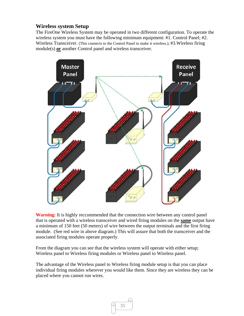## **Wireless system Setup**

The FireOne Wireless System may be operated in two different configuration. To operate the wireless system you must have the following minimum equipment: #1. Control Panel; #2. Wireless Transceiver. (This connects to the Control Panel to make it wireless.); #3.Wireless firing module(s) **or** another Control panel and wireless transceiver.



**Warning:** It is highly reccommended that the connection wire between any control panel that is operated with a wireless transceiver and wired firing modules on the **same** output have a minimum of 150 feet (50 meters) of wire between the output terminals and the first firing module. (See red wire in above diagram.) This will assure that both the transceiver and the associated firing modules operate properly.

From the diagram you can see that the wireless system will operate with either setup; Wireless panel to Wireless firing modules or Wireless panel to Wireless panel.

The advantage of the Wireless panel to Wireless firing module setup is that you can place individual firing modules wherever you would like them. Since they are wireless they can be placed where you cannot run wires.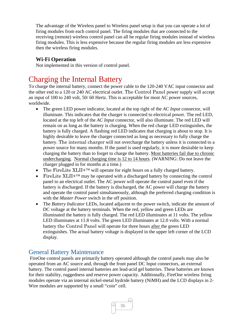The advantage of the Wireless panel to Wireless panel setup is that you can operate a lot of firing modules from each control panel. The firing modules that are connected to the receiving (remote) wireless control panel can all be regular firing modules instead of wireless firing modules. This is less expensive because the regular firing modules are less expensive then the wireless firing modules.

## **Wi-Fi Operation**

Not implemented in this version of control panel.

# Charging the Internal Battery

To charge the internal battery, connect the power cable to the 120-240 VAC input connector and the other end to a 120 or 240 AC electrical outlet. The Control Panel power supply will accept an input of 100 to 240 volt, 50/ 60 Hertz. This is acceptable for most AC power sources, worldwide.

- The green LED power indicator, located at the top right of the *AC Input* connector, will illuminate. This indicates that the charger is connected to electrical power. The red LED, located at the top left of the *AC Input* connector, will also illuminate. The red LED will remain on as long as the battery is charging. When the red charge LED extinguishes, the battery is fully charged. A flashing red LED indicates that charging is about to stop. It is highly desirable to leave the charger connected as long as necessary to fully charge the battery. The internal charger will not overcharge the battery unless it is connected to a power source for many months. If the panel is used regularly, it is more desirable to keep charging the battery than to forget to charge the battery. Most batteries fail due to chronic undercharging. Normal charging time is 12 to 14 hours. (WARNING: Do not leave the charger plugged in for months at a time.)
- The FireLite XLII+ $TM$  will operate for eight hours on a fully charged battery.
- FireLite  $XLI I^{+TM}$  may be operated with a discharged battery by connecting the control panel to an electrical outlet. The AC power will operate the control panel even if the battery is discharged. If the battery is discharged, the AC power will charge the battery and operate the control panel simultaneously, although the preferred charging condition is with the *Master Power* switch in the off position.
- The *Battery Indicator* LEDs, located adjacent to the power switch, indicate the amount of DC voltage at the battery terminals. When the red, yellow and green LEDs are illuminated the battery is fully charged. The red LED illuminates at 11 volts. The yellow LED illuminates at 11.8 volts. The green LED illuminates at 12.0 volts. With a normal battery the Control Panel will operate for three hours after the green LED extinguishes. The actual battery voltage is displayed in the upper left corner of the LCD display.

## General Battery Maintenance

 FireOne control panels are primarily battery operated although the control panels may also be operated from an AC source and, through the front panel DC Input connectors, an external battery. The control panel internal batteries are lead-acid gel batteries. These batteries are known for their stability, ruggedness and reserve power capacity. Additionally, FireOne wireless firing modules operate via an internal nickel-metal hydride battery (NiMH) and the LCD displays in 2- Wire modules are supported by a small "coin" cell.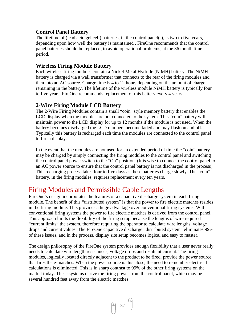## **Control Panel Battery**

The lifetime of (lead acid gel cell) batteries, in the control panel(s), is two to five years, depending upon how well the battery is maintained . FireOne recommends that the control panel batteries should be replaced, to avoid operational problems, at the 36 month time period.

## **Wireless Firing Module Battery**

Each wireless firing modules contain a Nickel Metal Hydride (NiMH) battery. The NiMH battery is charged via a wall transformer that connects to the rear of the firing modules and then into an AC source. Charge time is 4 to 12 hours depending on the amount of charge remaining in the battery. The lifetime of the wireless module NiMH battery is typically four to five years. FireOne recommends replacement of this battery every 4 years.

## **2-Wire Firing Module LCD Battery**

The 2-Wire Firing Modules contain a small "coin" style memory battery that enables the LCD display when the modules are not connected to the system. This "coin" battery will maintain power to the LCD display for up to 12 months if the module is not used. When the battery becomes discharged the LCD numbers become faded and may flash on and off. Typically this battery is recharged each time the modules are connected to the control panel to fire a display.

In the event that the modules are not used for an extended period of time the "coin" battery may be charged by simply connecting the firing modules to the control panel and switching the control panel power switch to the "On" position. (It is wise to connect the control panel to an AC power source to ensure that the control panel battery is not discharged in the process). This recharging process takes four to five days as these batteries charge slowly. The "coin" battery, in the firing modules, requires replacement every ten years.

## Firing Modules and Permissible Cable Lengths

FireOne's design incorporates the features of a capacitive discharge system in each firing module. The benefit of this "distributed system" is that the power to fire electric matches resides in the firing module. This provides a huge advantage over conventional firing systems. With conventional firing systems the power to fire electric matches is derived from the control panel. This approach limits the flexibility of the firing setup because the lengths of wire required "current limits" the system, therefore requiring the operator to calculate wire lengths, voltage drops and current values. The FireOne capacitive discharge "distributed system" eliminates 99% of these issues, and in the process, display site setup becomes logical and easy to master.

The design philosophy of the FireOne system provides enough flexibility that a user never really needs to calculate wire length resistances, voltage drops and resultant current. The firing modules, logically located directly adjacent to the product to be fired, provide the power source that fires the e-matches. When the power source is this close, the need to remember electrical calculations is eliminated. This is in sharp contrast to 99% of the other firing systems on the market today. These systems derive the firing power from the control panel, which may be several hundred feet away from the electric matches.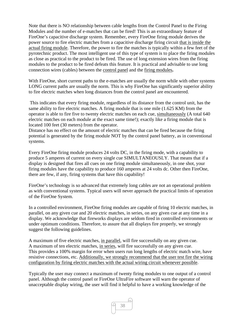Note that there is NO relationship between cable lengths from the Control Panel to the Firing Modules and the number of e-matches that can be fired! This is an extraordinary feature of FireOne's capacitive discharge system. Remember, every FireOne firing module derives the power source to fire electric matches from a capacitive discharge firing circuit that is inside the actual firing module. Therefore, the power to fire the matches is typically within a few feet of the pyrotechnic product. The most intelligent use of this type of system is to place the firing modules as close as practical to the product to be fired. The use of long extension wires from the firing modules to the product to be fired defeats this feature. It is practical and advisable to use long connection wires (cables) between the control panel and the firing modules**.**

With FireOne, short current paths to the e-matches are usually the norm while with other systems LONG current paths are usually the norm. This is why FireOne has significantly superior ability to fire electric matches when long distances from the control panel are encountered.

 This indicates that every firing module, regardless of its distance from the control unit, has the same ability to fire electric matches. A firing module that is one mile (1.625 KM) from the operator is able to fire five to twenty electric matches on each cue, simultaneously (A total 640 electric matches on each module at the exact same time!); exactly like a firing module that is located 100 feet (30 meters) from the operator.

Distance has no effect on the amount of electric matches that can be fired because the firing potential is generated by the firing module NOT by the control panel battery, as in conventional systems.

Every FireOne firing module produces 24 volts DC, in the firing mode, with a capability to produce 5 amperes of current on every single cue SIMULTANEOUSLY. That means that if a display is designed that fires all cues on one firing module simultaneously, in one shot, your firing modules have the capability to produce 160 amperes at 24 volts dc. Other then FireOne, there are few, if any, firing systems that have this capability!

FireOne's technology is so advanced that extremely long cables are not an operational problem as with conventional systems. Typical users will never approach the practical limits of operation of the FireOne System.

In a controlled environment, FireOne firing modules are capable of firing 10 electric matches, in parallel, on any given cue and 20 electric matches, in series, on any given cue at any time in a display. We acknowledge that fireworks displays are seldom fired in controlled environments or under optimum conditions. Therefore, to assure that all displays fire properly, we strongly suggest the following guidelines.

A maximum of five electric matches, in parallel, will fire successfully on any given cue. A maximum of ten electric matches, in series, will fire successfully on any given cue. This provides a 100% margin for error when users run long lengths of electric match wire, have resistive connections, etc. Additionally, we strongly recommend that the user test fire the wiring configuration by firing electric matches with the actual wiring circuit whenever possible.

Typically the user may connect a maximum of twenty firing modules to one output of a control panel. Although the control panel or FireOne UltraFire software will warn the operator of unacceptable display wiring, the user will find it helpful to have a working knowledge of the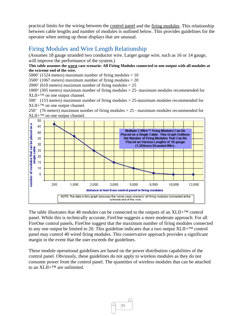practical limits for the wiring between the control panel and the firing modules. This relationship between cable lengths and number of modules is outlined below. This provides guidelines for the operator when setting up those displays that are unusual.

## Firing Modules and Wire Length Relationship

(Assumes 18 gauge stranded two conductor wire. Larger gauge wire, such as 16 or 14 gauge, will improve the performance of the system.)

#### **This table assumes the worst case scenario: All Firing Modules connected to one output with all modules at the extreme end of the wire.**

5000' (1524 meters) maximum number of firing modules  $= 10$ 

3500' (1067 meters) maximum number of firing modules  $= 20$ 

2000' (610 meters) maximum number of firing modules  $= 25$ 

1000' (305 meters) maximum number of firing modules = 25- maximum modules recommended for  $XLII+<sup>TM</sup>$  on one output channel.

500' (153 meters) maximum number of firing modules = 25-maximum modules recommended for  $XLII+<sup>TM</sup>$  on one output channel.

250' (76 meters) maximum number of firing modules = 25 - maximum modules recommended for XLII+™ on one output channel.



The table illustrates that 48 modules can be connected to the outputs of an XLII+™ control panel. While this is technically accurate, FireOne suggests a more moderate approach. For all FireOne control panels, FireOne suggest that the maximum number of firing modules connected to any one output be limited to 20. This guideline indicates that a two output  $XLII+<sup>TM</sup>$  control panel may control 40 wired firing modules. This conservative approach provides a significant margin in the event that the user exceeds the guidelines.

These module operational guidelines are based on the power distribution capabilities of the control panel. Obviously, these guidelines do not apply to wireless modules as they do not consume power from the control panel. The quantities of wireless modules that can be attached to an XLII+<sup>™</sup> are unlimited.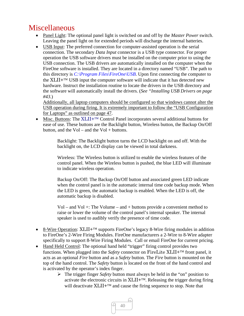# Miscellaneous

- Panel Light: The optional panel light is switched on and off by the *Master Power* switch. Leaving the panel light on for extended periods will discharge the internal batteries.
- USB Input: The preferred connection for computer-assisted operation is the serial connection. The secondary *Data Input* connector is a USB type connector. For proper operation the USB software drivers must be installed on the computer prior to using the USB connection. The USB drivers are automatically installed on the computer when the FireOne software is installed. They are located in a directory named "USB". The path to this directory is *C:\Program Files\FireOne\USB*. Upon first connecting the computer to the  $XLII+<sup>TM</sup>$  USB input the computer software will indicate that it has detected new hardware. Instruct the installation routine to locate the drivers in the USB directory and the software will automatically install the drivers. (*See "Installing USB Drivers on page #43.*)

Additionally, all laptop computers should be configured so that windows cannot alter the USB operation during firing. It is extremely important to follow the "USB Configuration for Laptops" as outlined on page 47.

 $\bullet$  Misc. Buttons: The XLII+<sup>TM</sup> Control Panel incorporates several additional buttons for ease of use. These buttons are the Backlight button, Wireless button, the Backup On/Off button, and the  $Vol -$  and the  $Vol +$  buttons.

> Backlight: The Backlight button turns the LCD backlight on and off. With the backlight on, the LCD display can be viewed in total darkness.

Wireless: The Wireless button is utilized to enable the wireless features of the control panel. When the Wireless button is pushed, the blue LED will illuminate to indicate wireless operation.

Backup On/Off: The Backup On/Off button and associated green LED indicate when the control panel is in the automatic internal time code backup mode. When the LED is green, the automatic backup is enabled. When the LED is off, the automatic backup is disabled.

 $Vol - and Vol +: The Volume - and + buttons provide a convenient method to$ raise or lower the volume of the control panel's internal speaker. The internal speaker is used to audibly verify the presence of time code.

- 8-Wire Operation:  $XLI I^{+TM}$  supports FireOne's legacy 8-Wire firing modules in addition to FireOne's 2-Wire Firing Modules. FireOne manufacturers a 2-Wire to 8-Wire adapter specifically to support 8-Wire Firing Modules. Call or email FireOne for current pricing.
- Hand Held Control: The optional hand held "trigger" firing control provides two functions. When plugged into the *Safety* connector on FireLite XLII+<sup>TM</sup> front panel, it acts as an optional *Fire* button and as a *Safety* button. The *Fire* button is mounted on the top of the hand control. The *Safety* button is located on the front of the hand control and is activated by the operator's index finger.
	- The trigger finger *Safety* button must always be held in the "on" position to activate the electronic circuits in  $XLII+<sup>TM</sup>$ . Releasing the trigger during firing will deactivate  $XLII + TM$  and cause the firing sequence to stop. Note that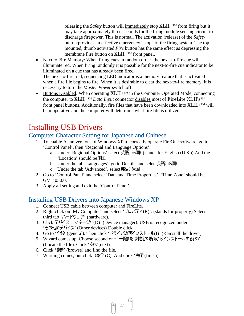releasing the *Safety* button will immediately stop XLII+<sup>™</sup> from firing but it may take approximately three seconds for the firing module sensing circuit to discharge firepower. This is normal. The activation (release) of the *Safety*  button provides an effective emergency "stop" of the firing system. The top mounted, thumb activated *Fire* button has the same effect as depressing the membrane Fire button on  $XLII + TM$  front panel.

• Next to Fire Memory: When firing cues in random order, the next-to-fire cue will illuminate red. When firing randomly it is possible for the next-to-fire cue indicator to be illuminated on a cue that has already been fired. The next-to-fire, red, sequencing LED indicator is a memory feature that is activated

when a fire file begins to fire. When it is desirable to clear the next-to-fire memory, it is necessary to turn the *Master Power* switch off.

 $\bullet$  Buttons Disabled: When operating XLII+<sup>TM</sup> in the Computer Operated Mode, connecting the computer to XLII+<sup>™</sup> Data Input connector disables most of FireLite XLII's<sup>™</sup> front panel buttons. Additionally, fire files that have been downloaded into  $XLII + TM$  will be inoperative and the computer will determine what fire file is utilized.

# Installing USB Drivers

## Computer Character Setting for Japanese and Chinese

- 1. To enable Asian versions of Windows XP to correctly operate FireOne software, go to 'Control Panel', then 'Regional and Language Options'.
	- a. Under 'Regional Options' select 英語( 米国) (stands for English (U.S.)) And the 'Location' should be米国.
	- b. Under the tab 'Languages', go to Details, and select英語(米国)
	- c. Under the tab 'Advanced', select英語( 米国
- 2. Go to 'Control Panel' and select 'Date and Time Properties'. 'Time Zone' should be GMT 05:00.
- 3. Apply all setting and exit the 'Control Panel'.

## Installing USB Drivers into Japanese Windows XP

- 1. Connect USB cable between computer and FireLite.
- 2. Right click on 'My Computer' and select ' $\mathcal{J} \Box \mathcal{J} \overline{\mathcal{J}} \overline{\mathcal{J}}$  (R)'. (stands for property) Select third tab 'ハードウェ ア' (hardware).
- 3. Click デバイス 'マネージャ(D)' (Device manager). USB is recognized under 'その他のデバイス' (Other devices) Double click.
- 4. Go to '全般 (general). Then click 'ドライバの再インストール(I)' (Reinstall the driver).
- 5. Wizard comes up. Choose second one '一覧または特定の場所からインストールする(S)' (Locate the file). Click  $\mathcal{X}(\mathcal{X})$  (next).
- 6. Click '参照' (browse) and find the file.
- 7. Warning comes, but click ' stores (C). And click ' 完了'(finish).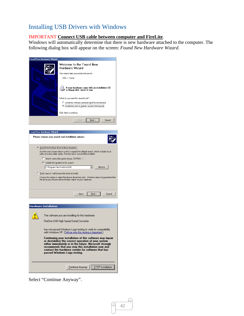## Installing USB Drivers with Windows

#### IMPORTANT **Connect USB cable between computer and FireLite**.

Windows will automatically determine that there is new hardware attached to the computer. The following dialog box will appear on the screen: *Found New Hardware Wizard*.

42

A.

| Found New Hardware Wizard                                                                                                            |                                                                                                                                                                                                                                                                                                                                                                                               |  |  |  |  |
|--------------------------------------------------------------------------------------------------------------------------------------|-----------------------------------------------------------------------------------------------------------------------------------------------------------------------------------------------------------------------------------------------------------------------------------------------------------------------------------------------------------------------------------------------|--|--|--|--|
|                                                                                                                                      | Welcome to the Found New<br>Hardware Wizard<br>This wizard helps you install software for:<br>$USB \leftrightarrow$ Serial<br>If your hardware came with an installation CD<br>a or floppy disk, insert it now.<br>What do you want the wizard to do?<br>C Install the software automatically (Recommended)<br>Install from a list or specific location (Advanced)<br>Click Next to continue. |  |  |  |  |
|                                                                                                                                      | < Back<br>$N$ ext ><br>Cancel                                                                                                                                                                                                                                                                                                                                                                 |  |  |  |  |
|                                                                                                                                      |                                                                                                                                                                                                                                                                                                                                                                                               |  |  |  |  |
|                                                                                                                                      |                                                                                                                                                                                                                                                                                                                                                                                               |  |  |  |  |
| <b>Found New Hardware Wizard</b>                                                                                                     |                                                                                                                                                                                                                                                                                                                                                                                               |  |  |  |  |
|                                                                                                                                      | Please choose your search and installation options.                                                                                                                                                                                                                                                                                                                                           |  |  |  |  |
|                                                                                                                                      | ● Search for the best driver in these locations.                                                                                                                                                                                                                                                                                                                                              |  |  |  |  |
|                                                                                                                                      | Use the check boxes below to limit or expand the default search, which includes local<br>paths and removable media. The best driver found will be installed.                                                                                                                                                                                                                                  |  |  |  |  |
|                                                                                                                                      | Search removable media (floppy, CD-ROM)                                                                                                                                                                                                                                                                                                                                                       |  |  |  |  |
|                                                                                                                                      | $\triangleright$ Include this location in the search:                                                                                                                                                                                                                                                                                                                                         |  |  |  |  |
|                                                                                                                                      | C:\Program Files\FireOne\USB<br>Browse<br>▼                                                                                                                                                                                                                                                                                                                                                   |  |  |  |  |
|                                                                                                                                      | C Don't search. I will choose the driver to install.                                                                                                                                                                                                                                                                                                                                          |  |  |  |  |
|                                                                                                                                      | Choose this option to select the device driver from a list. Windows does not guarantee that                                                                                                                                                                                                                                                                                                   |  |  |  |  |
|                                                                                                                                      | the driver you choose will be the best match for your hardware.                                                                                                                                                                                                                                                                                                                               |  |  |  |  |
|                                                                                                                                      |                                                                                                                                                                                                                                                                                                                                                                                               |  |  |  |  |
|                                                                                                                                      |                                                                                                                                                                                                                                                                                                                                                                                               |  |  |  |  |
|                                                                                                                                      | Cancel<br>$\leq$ Back<br>$N$ ext >                                                                                                                                                                                                                                                                                                                                                            |  |  |  |  |
|                                                                                                                                      |                                                                                                                                                                                                                                                                                                                                                                                               |  |  |  |  |
| <b>Hardware Installation</b>                                                                                                         |                                                                                                                                                                                                                                                                                                                                                                                               |  |  |  |  |
|                                                                                                                                      |                                                                                                                                                                                                                                                                                                                                                                                               |  |  |  |  |
| The software you are installing for this hardware:                                                                                   |                                                                                                                                                                                                                                                                                                                                                                                               |  |  |  |  |
| FireOne USB High Speed Serial Converter                                                                                              |                                                                                                                                                                                                                                                                                                                                                                                               |  |  |  |  |
| has not passed Windows Logo testing to verify its compatibility<br>with Windows XP. <u>(Tell me why this testing is important.</u> ) |                                                                                                                                                                                                                                                                                                                                                                                               |  |  |  |  |
|                                                                                                                                      | Continuing your installation of this software may impair<br>or destabilize the correct operation of your system<br>either immediately or in the future. Microsoft strongly<br>recommends that you stop this installation now and<br>contact the hardware vendor for software that has<br>passed Windows Logo testing.                                                                         |  |  |  |  |

Select "Continue Anyway".

Continue Anyway | [STOP Installation ]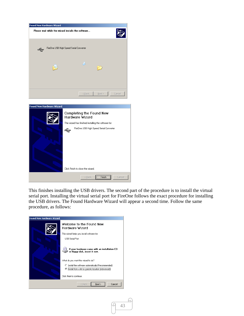



This finishes installing the USB drivers. The second part of the procedure is to install the virtual serial port. Installing the virtual serial port for FireOne follows the exact procedure for installing the USB drivers. The Found Hardware Wizard will appear a second time. Follow the same procedure, as follows:

43

u

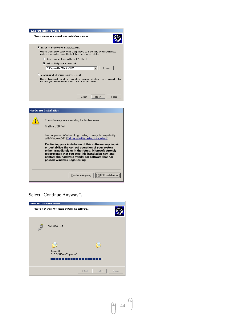| Please choose your search and installation options.<br>G.<br>Search for the best driver in these locations.<br>Use the check boxes below to limit or expand the default search, which includes local<br>paths and removable media. The best driver found will be installed.<br>Search removable media (floppy, CD-ROM)<br>$\triangleright$ Include this location in the search:<br>C:\Program Files\FireOne\USB<br>Browse<br>▼<br>C Don't search. I will choose the driver to install.<br>Choose this option to select the device driver from a list. Windows does not quarantee that<br>the driver you choose will be the best match for your hardware. | Found New Hardware Wizard |  |  |
|----------------------------------------------------------------------------------------------------------------------------------------------------------------------------------------------------------------------------------------------------------------------------------------------------------------------------------------------------------------------------------------------------------------------------------------------------------------------------------------------------------------------------------------------------------------------------------------------------------------------------------------------------------|---------------------------|--|--|
|                                                                                                                                                                                                                                                                                                                                                                                                                                                                                                                                                                                                                                                          |                           |  |  |
|                                                                                                                                                                                                                                                                                                                                                                                                                                                                                                                                                                                                                                                          |                           |  |  |
|                                                                                                                                                                                                                                                                                                                                                                                                                                                                                                                                                                                                                                                          |                           |  |  |
|                                                                                                                                                                                                                                                                                                                                                                                                                                                                                                                                                                                                                                                          |                           |  |  |
| Cancel<br>< Back<br>Next >                                                                                                                                                                                                                                                                                                                                                                                                                                                                                                                                                                                                                               |                           |  |  |



Select "Continue Anyway"**.** 



44

ſч.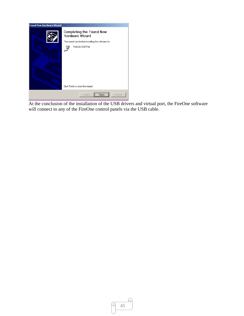

At the conclusion of the installation of the USB drivers and virtual port, the FireOne software will connect to any of the FireOne control panels via the USB cable.

ſч.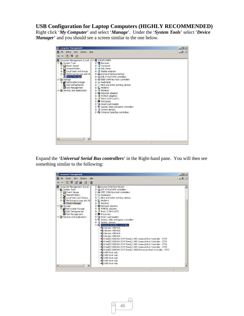## **USB Configuration for Laptop Computers (HIGHLY RECOMMENDED)**

Right click '*My Computer*' and select '*Manage*'. Under the '*System Tools*' select '*Device Manager*' and you should see a screen similar to the one below.

Expand the '*Universal Serial Bus controllers*' in the Right-hand pane. You will then see something similar to the following: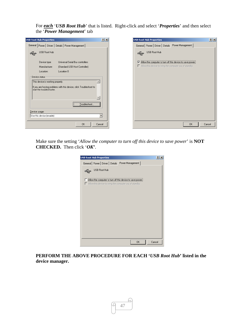For *each* '*USB Root Hub*' that is listed. Right-click and select '*Properties*' and then select the '*Power Management*' tab



Make sure the setting '*Allow the computer to turn off this device to save power*' is **NOT CHECKED.** Then click '*OK***'**.

| <b>USB Root Hub Properties</b>                                                                                              | ? X    |
|-----------------------------------------------------------------------------------------------------------------------------|--------|
| General Power Driver Details Power Management                                                                               |        |
| USB Root Hub<br>Æ                                                                                                           |        |
| Allow the computer to turn off this device to save power.<br>$\Box$ Allow this device to bring the computer out of standby. |        |
|                                                                                                                             |        |
|                                                                                                                             |        |
|                                                                                                                             |        |
|                                                                                                                             |        |
|                                                                                                                             |        |
| OK                                                                                                                          | Cancel |

**PERFORM THE ABOVE PROCEDURE FOR EACH '***USB Root Hub***' listed in the device manager.** 

47

ſч.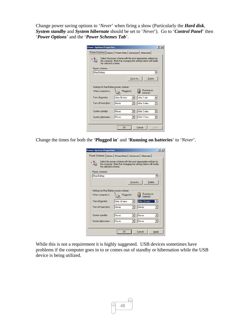Change power saving options to '*Never*' when firing a show (Particularly the *Hard disk*, *System standby* and *System hibernate* should be set to '*Neve*r'). Go to '*Control Panel*' then '*Power Options*' and the '*Power Schemes Tab*'.

| <b>Power Options Properties</b>                             |                      |                                                                                                                                    |         |              |            | $ ?  \times$ |
|-------------------------------------------------------------|----------------------|------------------------------------------------------------------------------------------------------------------------------------|---------|--------------|------------|--------------|
| Power Schemes   Alarms   Power Meter   Advanced   Hibernate |                      |                                                                                                                                    |         |              |            |              |
|                                                             | the selected scheme. | Select the power scheme with the most appropriate settings for<br>this computer. Note that changing the settings below will modify |         |              |            |              |
| Power schemes                                               |                      |                                                                                                                                    |         |              |            |              |
| Max Battery                                                 |                      |                                                                                                                                    |         |              |            |              |
|                                                             |                      |                                                                                                                                    | Save As |              | Delete     |              |
| When computer is:                                           |                      | Settings for Max Battery power scheme<br>Plugged in                                                                                |         |              | Running on |              |
| Turn off monitor:                                           |                      | After 30 mins                                                                                                                      |         | After 1 min  | hatteries  |              |
| Turn off hard disks:                                        |                      | Never                                                                                                                              |         | After 3 mins |            |              |
| System standby:                                             |                      | Never                                                                                                                              |         | After 2 mins |            |              |
| System hibernates:                                          |                      | Never                                                                                                                              |         | After 1 hour |            |              |
|                                                             |                      | OK                                                                                                                                 |         | Cancel       | Apply      |              |

Change the times for both the '**Plugged in**' and '**Running on batteries**' to '*Never*'.

| <b>Power Options Properties</b>                                                                                                                            |               | ?                 |
|------------------------------------------------------------------------------------------------------------------------------------------------------------|---------------|-------------------|
| Alarms   Power Meter   Advanced   Hibernate  <br>Power Schemes                                                                                             |               |                   |
| Select the power scheme with the most appropriate settings for<br>this computer. Note that changing the settings below will modify<br>the selected scheme. |               |                   |
| Power schemes                                                                                                                                              |               |                   |
| Max Battery                                                                                                                                                |               |                   |
|                                                                                                                                                            |               | Save As<br>Delete |
| Settings for Max Battery power scheme<br>Running on                                                                                                        |               |                   |
| When computer is:                                                                                                                                          | Plugged in    | batteries         |
| Turn off monitor:                                                                                                                                          | After 30 mins | After 30 mins     |
| Turn off hard disks:                                                                                                                                       | Never         | Never             |
| System standby:                                                                                                                                            | Never         | Never             |
| System hibernates:                                                                                                                                         | Never         | Never             |
|                                                                                                                                                            | OK            | Cancel<br>Apply   |

While this is not a requirement it is highly suggested. USB devices sometimes have problems if the computer goes in to or comes out of standby or hibernation while the USB device is being utilized.

A)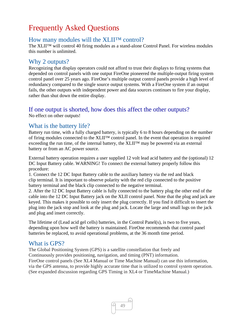# Frequently Asked Questions

## How many modules will the XLII™ control?

The XLII™ will control 40 firing modules as a stand-alone Control Panel. For wireless modules this number is unlimited.

## Why 2 outputs?

Recognizing that display operators could not afford to trust their displays to firing systems that depended on control panels with one output FireOne pioneered the multiple-output firing system control panel over 25 years ago. FireOne's multiple output control panels provide a high level of redundancy compared to the single source output systems. With a FireOne system if an output fails, the other outputs with independent power and data sources continues to fire your display, rather than shut down the entire display.

## If one output is shorted, how does this affect the other outputs?

No effect on other outputs!

## What is the battery life?

Battery run time, with a fully charged battery, is typically 6 to 8 hours depending on the number of firing modules connected to the XLII™ control panel. In the event that operation is required exceeding the run time, of the internal battery, the XLII™ may be powered via an external battery or from an AC power source.

External battery operation requires a user supplied 12 volt lead acid battery and the (optional) 12 DC Input Battery cable. WARNING! To connect the external battery properly follow this procedure:

1. Connect the 12 DC Input Battery cable to the auxiliary battery via the red and black clip terminal. It is important to observe polarity with the red clip connected to the positive battery terminal and the black clip connected to the negative terminal.

2. After the 12 DC Input Battery cable is fully connected to the battery plug the other end of the cable into the 12 DC Input Battery jack on the XLII control panel. Note that the plug and jack are keyed. This makes it possible to only insert the plug correctly. If you find it difficult to insert the plug into the jack stop and look at the plug and jack. Locate the large and small lugs on the jack and plug and insert correctly.

The lifetime of (Lead acid gel cells) batteries, in the Control Panel(s), is two to five years, depending upon how well the battery is maintained. FireOne recommends that control panel batteries be replaced, to avoid operational problems, at the 36 month time period.

## What is GPS?

The Global Positioning System (GPS) is a satellite constellation that freely and Continuously provides positioning, navigation, and timing (PNT) information. FireOne control panels (See XL4 Manual or Time Machine Manual) can use this information, via the GPS antenna, to provide highly accurate time that is utilized to control system operation. (See expanded discussion regarding GPS Timing in XL4 or TimeMachine Manual.)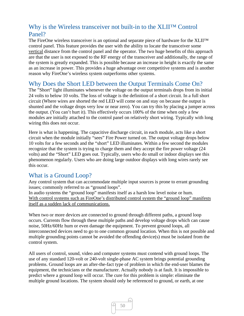## Why is the Wireless transceiver not built-in to the XLII™ Control Panel?

The FireOne wireless transceiver is an optional and separate piece of hardware for the XLII™ control panel. This feature provides the user with the ability to locate the transceiver some vertical distance from the control panel and the operator. The two huge benefits of this approach are that the user is not exposed to the RF energy of the transceiver and additionally, the range of the system is greatly expanded. This is possible because an increase in height is exactly the same as an increase in power. This provides a huge advantage over competitive systems and is another reason why FireOne's wireless system outperforms other systems.

## Why Does the Short LED between the Output Terminals Come On?

The "Short" light illuminates whenever the voltage on the output terminals drops from its initial 24 volts to below 10 volts. The loss of voltage is the definition of a short circuit. In a full short circuit (Where wires are shorted the red LED will come on and stay on because the output is shunted and the voltage drops very low or near zero). You can try this by placing a jumper across the output. (You can't hurt it). This effectively occurs 100% of the time when only a few modules are initially attached to the control panel on relatively short wiring. Typically with long wiring this does not occur.

Here is what is happening. The capacitive discharge circuit, in each module, acts like a short circuit when the module initially "sees" Fire Power turned on. The output voltage drops below 10 volts for a few seconds and the "short" LED illuminates. Within a few second the modules recognize that the system is trying to charge them and they accept the fire power voltage (24 volts) and the "Short" LED goes out. Typically, users who do small or indoor displays see this phenomenon regularly. Users who are doing large outdoor displays with long wires rarely see this occur.

## What is a Ground Loop?

Any control system that can accommodate multiple input sources is prone to errant grounding issues; commonly referred to as "ground loops".

In audio systems the "ground loop" manifests itself as a harsh low level noise or hum. With control systems such as FireOne's distributed control system the "ground loop" manifests itself as a sudden lack of communications.

When two or more devices are connected to ground through different paths, a ground loop occurs. Currents flow through these multiple paths and develop voltage drops which can cause noise, 50Hz/60Hz hum or even damage the equipment. To prevent ground loops, all interconnected devices need to go to one common ground location. When this is not possible and multiple grounding points cannot be avoided the offending device(s) must be isolated from the control system.

All users of control, sound, video and computer systems must contend with ground loops. The use of any standard 120-volt or 240-volt single-phase AC system brings potential grounding problems. Ground loops are an after-the-fact type of problem in which the end-user blames the equipment, the technicians or the manufacturer. Actually nobody is at fault. It is impossible to predict where a ground loop will occur. The cure for this problem is simple: eliminate the multiple ground locations. The system should only be referenced to ground, or earth, at one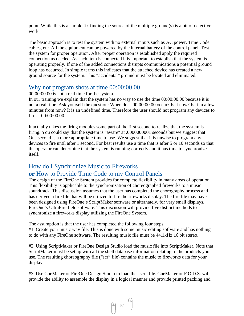point. While this is a simple fix finding the source of the multiple ground(s) is a bit of detective work.

The basic approach is to test the system with no external inputs such as AC power, Time Code cables, etc. All the equipment can be powered by the internal battery of the control panel. Test the system for proper operation. After proper operation is established apply the required connection as needed. As each item is connected it is important to establish that the system is operating properly. If one of the added connections disrupts communications a potential ground loop has occurred. In simple terms this indicates that the attached device has created a new ground source for the system. This "accidental" ground must be located and eliminated.

## Why not program shots at time 00:00:00.00

00:00:00.00 is not a real time for the system.

In our training we explain that the system has no way to use the time 00:00:00.00 because it is not a real time. Ask yourself the question: When does 00:00:00.00 occur? Is it now? Is it in a few minutes from now? It is an undefined time. Therefore the user should not program any devices to fire at 00:00:00.00.

It actually takes the firing modules some part of the first second to realize that the system is firing. You could say that the system is "aware" at .0000000001 seconds but we suggest that One second is a more appropriate time to use. We suggest that it is unwise to program any devices to fire until after 1 second. For best results use a time that is after 5 or 10 seconds so that the operator can determine that the system is running correctly and it has time to synchronize itself.

## How do I Synchronize Music to Fireworks **or** How to Provide Time Code to my Control Panels

The design of the FireOne System provides for complete flexibility in many areas of operation. This flexibility is applicable to the synchronization of choreographed fireworks to a music soundtrack. This discussion assumes that the user has completed the chorography process and has derived a fire file that will be utilized to fire the fireworks display. The fire file may have been designed using FireOne's ScriptMaker software or alternately, for very small displays, FireOne's UltraFire field software. This discussion will provide five distinct methods to synchronize a fireworks display utilizing the FireOne System.

The assumption is that the user has completed the following four steps. #1. Create your music wav file. This is done with some music editing software and has nothing to do with any FireOne software. The resulting music file must be 44.1kHz 16 bit stereo.

#2. Using ScriptMaker or FireOne Design Studio load the music file into ScriptMaker. Note that ScriptMaker must be set up with all the shell database information relating to the products you use. The resulting choreography file ("scr" file) contains the music to fireworks data for your display.

#3. Use CueMaker or FireOne Design Studio to load the "scr" file. CueMaker or F.O.D.S. will provide the ability to assemble the display in a logical manner and provide printed packing and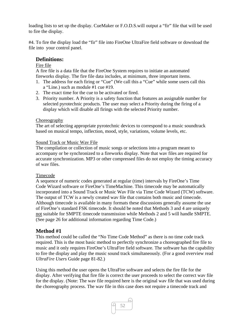loading lists to set up the display. CueMaker or F.O.D.S.will output a "fir" file that will be used to fire the display.

#4. To fire the display load the "fir" file into FireOne UltraFire field software or download the file into your control panel.

#### **Definitions:**

#### Fire file

A fire file is a data file that the FireOne System requires to initiate an automated fireworks display. The fire file data includes, at minimum, three important items.

- 1. The address for each firing or "Cue" (We call this a "Cue" while some users call this a "Line.) such as module #1 cue #19.
- 2. The exact time for the cue to be activated or fired.
- 3. Priority number. A Priority is a safety function that features an assignable number for selected pyrotechnic products. The user may select a Priority during the firing of a display which will disable all firings with the selected Priority number.

#### Choreography

The art of selecting appropriate pyrotechnic devices to correspond to a music soundtrack based on musical tempo, inflection, mood, style, variations, volume levels, etc.

#### Sound Track or Music Wav File

The compilation or collection of music songs or selections into a program meant to accompany or be synchronized to a fireworks display. Note that wav files are required for accurate synchronization. MP3 or other compressed files do not employ the timing accuracy of wav files.

#### Timecode

A sequence of numeric codes generated at regular (time) intervals by FireOne's Time Code Wizard software or FireOne's TimeMachine. This timecode may be automatically incorporated into a Sound Track or Music Wav File via Time Code Wizard (TCW) software. The output of TCW is a newly created wav file that contains both music and timecode. Although timecode is available in many formats these discussions generally assume the use of FireOne's standard FSK timecode. It should be noted that Methods 3 and 4 are uniquely not suitable for SMPTE timecode transmission while Methods 2 and 5 will handle SMPTE. (See page 26 for additional information regarding Time Code.)

### **Method #1**

This method could be called the "No Time Code Method" as there is no time code track required. This is the most basic method to perfectly synchronize a choreographed fire file to music and it only requires FireOne's UltraFire field software. The software has the capability to fire the display and play the music sound track simultaneously. (For a good overview read *UltraFire Users* Guide page 81-82.)

Using this method the user opens the UltraFire software and selects the fire file for the display. After verifying that fire file is correct the user proceeds to select the correct wav file for the display. (Note: The wav file required here is the original wav file that was used during the choreography process. The wav file in this case does not require a timecode track and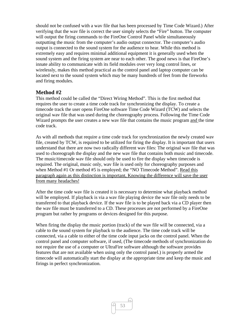should not be confused with a wav file that has been processed by Time Code Wizard.) After verifying that the wav file is correct the user simply selects the "Fire" button. The computer will output the firing commands to the FireOne Control Panel while simultaneously outputting the music from the computer's audio output connector. The computer's audio output is connected to the sound system for the audience to hear. While this method is extremely easy and requires minimal additional equipment it is generally used when the sound system and the firing system are near to each other. The good news is that FireOne's innate ability to communicate with its field modules over very long control lines, or wirelessly, makes this method practical as the control panel and laptop computer can be located next to the sound system which may be many hundreds of feet from the fireworks and firing modules.

### **Method #2**

This method could be called the "Direct Wiring Method". This is the first method that requires the user to create a time code track for synchronizing the display. To create a timecode track the user opens FireOne software Time Code Wizard (TCW) and selects the original wav file that was used during the choreography process. Following the Time Code Wizard prompts the user creates a new wav file that contains the music program and the time code track.

As with all methods that require a time code track for synchronization the newly created wav file, created by TCW, is required to be utilized for firing the display. It is important that users understand that there are now two radically different wav files: The original wav file that was used to choreograph the display and the new wav file that contains both music and timecode. The music/timecode wav file should only be used to fire the display when timecode is required. The original, music only, wav file is used only for choreography purposes and when Method #1 Or method #5 is employed; the "NO Timecode Method". Read this paragraph again as this distinction is important, Knowing the difference will save the user from many headaches!

After the time code wav file is created it is necessary to determine what playback method will be employed. If playback is via a wav file playing device the wav file only needs to be transferred to that playback device. If the wav file is to be played back via a CD player then the wav file must be transferred to a CD. These processes are not performed by a FireOne program but rather by programs or devices designed for this purpose.

When firing the display the music portion (track) of the wav file will be connected, via a cable to the sound system for playback to the audience. The time code track will be connected, via a cable to either of the time code input jacks on the control panel. When the control panel and computer software, if used, (The timecode methods of synchronization do not require the use of a computer or UltraFire software although the software provides features that are not available when using only the control panel.) is properly armed the timecode will automatically start the display at the appropriate time and keep the music and firings in perfect synchronization.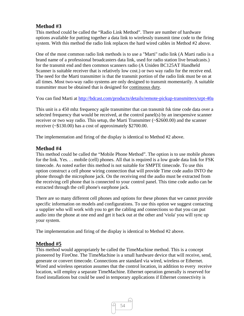## **Method #3**

This method could be called the "Radio Link Method". There are number of hardware options available for putting together a data link to wirelessly transmit time code to the firing system. With this method the radio link replaces the hard wired cables in Method #2 above.

One of the most common radio link methods is to use a "Marti" radio link (A Marti radio is a brand name of a professional broadcasters data link, used for radio station live broadcasts.) for the transmit end and then common scanners radio (A Uniden BC125AT Handheld Scanner is suitable receiver that is relatively low cost.) or two way radio for the receive end. The need for the Marti transmitter is that the transmit portion of the radio link must be on at all times. Most two-way radio systems are only designed to transmit momentarily. A suitable transmitter must be obtained that is designed for continuous duty.

You can find Marti at http://bdcast.com/products/details/remote-pickup-transmitters/srpt-40a

This unit is a 450 mhz frequency agile transmitter that can transmit fsk time code data over a selected frequency that would be received, at the control panel(s) by an inexpensive scanner receiver or two way radio. This setup, the Marti Transmitter (~\$2600.00) and the scanner receiver (~\$130.00) has a cost of approximately \$2700.00.

The implementation and firing of the display is identical to Method #2 above.

## **Method #4**

This method could be called the "Mobile Phone Method". The option is to use mobile phones for the link. Yes. . . mobile (cell) phones. All that is required is a low grade data link for FSK timecode. As noted earlier this method is not suitable for SMPTE timecode. To use this option construct a cell phone wiring connection that will provide Time code audio INTO the phone through the microphone jack. On the receiving end the audio must be extracted from the receiving cell phone that is connected to your control panel. This time code audio can be extracted through the cell phone's earphone jack.

There are so many different cell phones and options for these phones that we cannot provide specific information on models and configurations. To use this option we suggest contacting a supplier who will work with you to get the cabling and connections so that you can put audio into the phone at one end and get it back out at the other and 'viola' you will sync up your system.

The implementation and firing of the display is identical to Method #2 above.

## **Method #5**

This method would appropriately be called the TimeMachine method. This is a concept pioneered by FireOne. The TimeMachine is a small hardware device that will receive, send, generate or convert timecode. Connections are standard via wired, wireless or Ethernet. Wired and wireless operation assumes that the control location, in addition to every receive location, will employ a separate TimeMachine. Ethernet operation generally is reserved for fixed installations but could be used in temporary applications if Ethernet connectivity is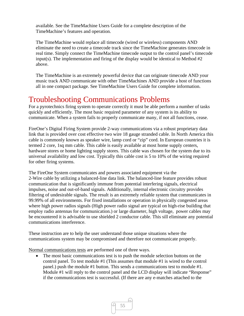available. See the TimeMachine Users Guide for a complete description of the TimeMachine's features and operation.

The TimeMachine would replace all timecode (wired or wireless) components AND eliminate the need to create a timecode track since the TimeMachine generates timecode in real time. Simply connect the TimeMachine timecode output to the control panel's timecode input(s). The implementation and firing of the display would be identical to Method  $#2$ above.

The TimeMachine is an extremely powerful device that can originate timecode AND your music track AND communicate with other TimeMachines AND provide a host of functions all in one compact package. See TimeMachine Users Guide for complete information.

## Troubleshooting Communications Problems

For a pyrotechnics firing system to operate correctly it must be able perform a number of tasks quickly and efficiently. The most basic required parameter of any system is its ability to communicate. When a system fails to properly communicate many, if not all functions, cease.

FireOne's Digital Firing System provide 2-way communications via a robust proprietary data link that is provided over cost effective two wire 18 gauge stranded cable. In North America this cable is commonly known as speaker wire, lamp cord or "zip" cord. In European countries it is termed 2 core, 1sq mm cable. This cable is easily available at most home supply centers, hardware stores or home lighting supply stores. This cable was chosen for the system due to its universal availability and low cost. Typically this cable cost is 5 to 10% of the wiring required for other firing systems.

The FireOne System communicates and powers associated equipment via the 2-Wire cable by utilizing a balanced-line data link. The balanced-line feature provides robust communication that is significantly immune from potential interfering signals, electrical impulses, noise and out-of-band signals. Additionally, internal electronic circuitry provides filtering of undesirable signals. The result is an extremely reliable system that communicates in 99.99% of all environments. For fixed installations or operation in physically congested areas where high power radios signals (High power radio signal are typical on high-rise building that employ radio antennas for communication.) or large diameter, high voltage, power cables may be encountered it is advisable to use shielded 2 conductor cable. This sill eliminate any potential communications interference.

These instruction are to help the user understand those unique situations where the communications system may be compromised and therefore not communicate properly.

Normal communications tests are performed one of three ways.

• The most basic communications test is to push the module selection buttons on the control panel. To test module #1 (This assumes that module #1 is wired to the control panel.) push the module #1 button. This sends a communications test to module #1. Module #1 will reply to the control panel and the LCD display will indicate "Response" if the communications test is successful. (If there are any e-matches attached to the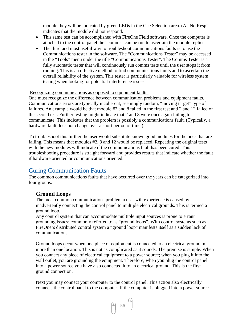module they will be indicated by green LEDs in the Cue Selection area.) A "No Resp" indicates that the module did not respond.

- This same test can be accomplished with FireOne Field software. Once the computer is attached to the control panel the "comms" can be run to ascertain the module replies.
- The third and most useful way to troubleshoot communications faults is to use the Communications tester in the software. The "Communications Tester" may be accessed in the "Tools" menu under the title "Communications Tester". The Comms Tester is a fully automatic tester that will continuously run comms tests until the user stops it from running. This is an effective method to find communications faults and to ascertain the overall reliability of the system. This tester is particularly valuable for wireless system testing when looking for potential interference issues.

#### Recognizing communications as opposed to equipment faults:

One must recognize the difference between communication problems and equipment faults. Communications errors are typically incoherent, seemingly random, "moving target" type of failures. An example would be that module #2 and 8 failed in the first test and 2 and 12 failed on the second test. Further testing might indicate that 2 and 8 were once again failing to communicate. This indicates that the problem is possibly a communications fault. (Typically, a hardware fault does not change over a short period of time.)

To troubleshoot this further the user would substitute known good modules for the ones that are failing. This means that modules #2, 8 and 12 would be replaced. Repeating the original tests with the new modules will indicate if the communications fault has been cured. This troubleshooting procedure is straight forward and provides results that indicate whether the fault if hardware oriented or communications oriented.

## Curing Communication Faults

The common communications faults that have occurred over the years can be categorized into four groups.

## **Ground Loops**

The most common communications problem a user will experience is caused by inadvertently connecting the control panel to multiple electrical grounds. This is termed a ground loop.

Any control system that can accommodate multiple input sources is prone to errant grounding issues; commonly referred to as "ground loops". With control systems such as FireOne's distributed control system a "ground loop" manifests itself as a sudden lack of communications.

Ground loops occur when one piece of equipment is connected to an electrical ground in more than one location. This is not as complicated as it sounds. The premise is simple. When you connect any piece of electrical equipment to a power source; when you plug it into the wall outlet, you are grounding the equipment. Therefore, when you plug the control panel into a power source you have also connected it to an electrical ground. This is the first ground connection.

Next you may connect your computer to the control panel. This action also electrically connects the control panel to the computer. If the computer is plugged into a power source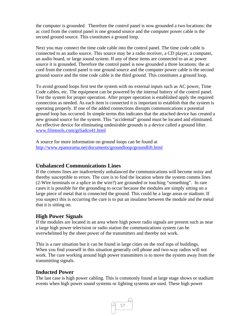the computer is grounded. Therefore the control panel is now grounded a two locations: the ac cord from the control panel is one ground source and the computer power cable is the second ground source. This constitutes a ground loop.

Next you may connect the time code cable into the control panel. The time code cable is connected to an audio source. This source may be a radio receiver, a CD player, a computer, an audio board, or large sound system. If any of these items are connected to an ac power source it is grounded. Therefore the control panel is now grounded a three locations: the ac cord from the control panel is one ground source and the computer power cable is the second ground source and the time code cable is the third ground. This constitutes a ground loop.

To avoid ground loops first test the system with no external inputs such as AC power, Time Code cables, etc. The equipment can be powered by the internal battery of the control panel. Test the system for proper operation. After proper operation is established apply the required connection as needed. As each item is connected it is important to establish that the system is operating properly. If one of the added connections disrupts communications a potential ground loop has occurred. In simple terms this indicates that the attached device has created a new ground source for the system. This "accidental" ground must be located and eliminated. An effective device for eliminating undesirable grounds is a device called a ground lifter. www.filmtools.com/grliadco41.html

A source for more information on ground loops can be found at http://www.epanorama.net/documents/groundloop/groundlift.html

## **Unbalanced Communications Lines**

If the comms lines are inadvertently unbalanced the communications will become noisy and thereby susceptible to errors. The cure is to find the location where the system comms lines (2-Wire terminals or a splice in the wire?) are grounded or touching "something". In rare cases it is possible for the grounding to occur because the modules are simply sitting on a large piece of metal that is connected the ground. This could be a large areas or stadium. If you suspect this is occurring the cure is to put an insulator between the module and the metal that it is sitting on.

## **High Power Signals**

If the modules are located in an area where high power radio signals are present such as near a large high power television or radio station the communications system can be overwhelmed by the sheer power of the transmitters and thereby not work.

This is a rare situation but it can be found in large cities on the roof tops of buildings. When you find yourself in this situation generally cell phone and two-way radios will not work. The cure working around high power transmitters is to move the system away from the transmitting signals.

## **Inducted Power**

The last case is high power cabling. This is commonly found at large stage shows or stadium events when high power sound systems or lighting systems are used. These high power

 $\sqrt{957}$